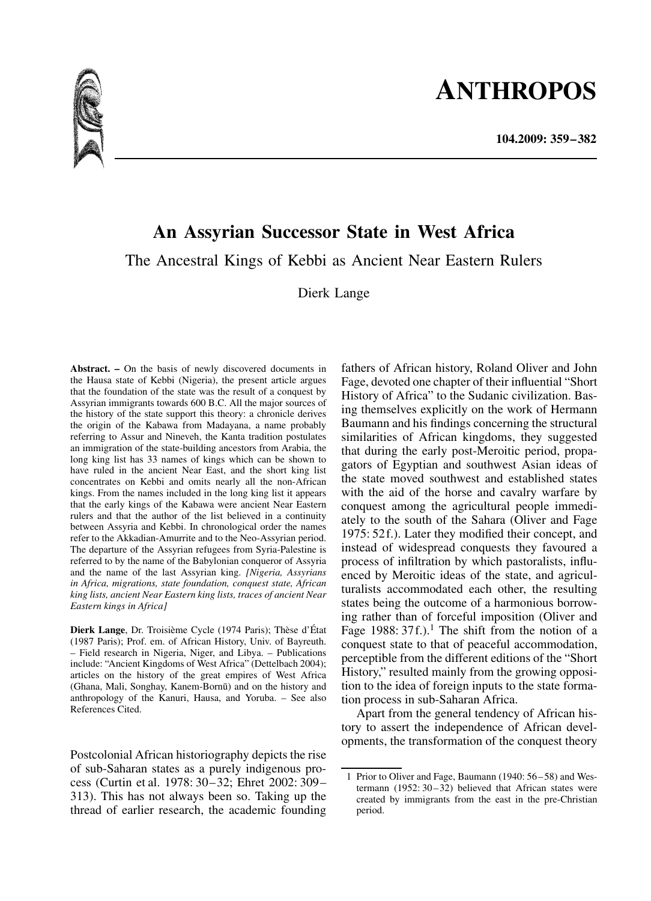# **ANTHROPOS**



## **An Assyrian Successor State in West Africa**

The Ancestral Kings of Kebbi as Ancient Near Eastern Rulers

Dierk Lange

**Abstract. –** On the basis of newly discovered documents in the Hausa state of Kebbi (Nigeria), the present article argues that the foundation of the state was the result of a conquest by Assyrian immigrants towards 600 B.C. All the major sources of the history of the state support this theory: a chronicle derives the origin of the Kabawa from Madayana, a name probably referring to Assur and Nineveh, the Kanta tradition postulates an immigration of the state-building ancestors from Arabia, the long king list has 33 names of kings which can be shown to have ruled in the ancient Near East, and the short king list concentrates on Kebbi and omits nearly all the non-African kings. From the names included in the long king list it appears that the early kings of the Kabawa were ancient Near Eastern rulers and that the author of the list believed in a continuity between Assyria and Kebbi. In chronological order the names refer to the Akkadian-Amurrite and to the Neo-Assyrian period. The departure of the Assyrian refugees from Syria-Palestine is referred to by the name of the Babylonian conqueror of Assyria and the name of the last Assyrian king. *[Nigeria, Assyrians in Africa, migrations, state foundation, conquest state, African king lists, ancient Near Eastern king lists, traces of ancient Near Eastern kings in Africa]*

**Dierk Lange**, Dr. Troisième Cycle (1974 Paris); Thèse d'État (1987 Paris); Prof. em. of African History, Univ. of Bayreuth. – Field research in Nigeria, Niger, and Libya. – Publications include: "Ancient Kingdoms of West Africa" (Dettelbach 2004); articles on the history of the great empires of West Africa (Ghana, Mali, Songhay, Kanem-Bornu) and on the history and anthropology of the Kanuri, Hausa, and Yoruba. – See also References Cited.

Postcolonial African historiography depicts the rise of sub-Saharan states as a purely indigenous process (Curtin et al. 1978: 30–32; Ehret 2002: 309– 313). This has not always been so. Taking up the thread of earlier research, the academic founding fathers of African history, Roland Oliver and John Fage, devoted one chapter of their influential "Short History of Africa" to the Sudanic civilization. Basing themselves explicitly on the work of Hermann Baumann and his findings concerning the structural similarities of African kingdoms, they suggested that during the early post-Meroitic period, propagators of Egyptian and southwest Asian ideas of the state moved southwest and established states with the aid of the horse and cavalry warfare by conquest among the agricultural people immediately to the south of the Sahara (Oliver and Fage 1975: 52f.). Later they modified their concept, and instead of widespread conquests they favoured a process of infiltration by which pastoralists, influenced by Meroitic ideas of the state, and agriculturalists accommodated each other, the resulting states being the outcome of a harmonious borrowing rather than of forceful imposition (Oliver and Fage 1988:  $37f$ .).<sup>1</sup> The shift from the notion of a conquest state to that of peaceful accommodation, perceptible from the different editions of the "Short History," resulted mainly from the growing opposition to the idea of foreign inputs to the state formation process in sub-Saharan Africa.

Apart from the general tendency of African history to assert the independence of African developments, the transformation of the conquest theory

<sup>1</sup> Prior to Oliver and Fage, Baumann (1940: 56–58) and Westermann (1952: 30–32) believed that African states were created by immigrants from the east in the pre-Christian period.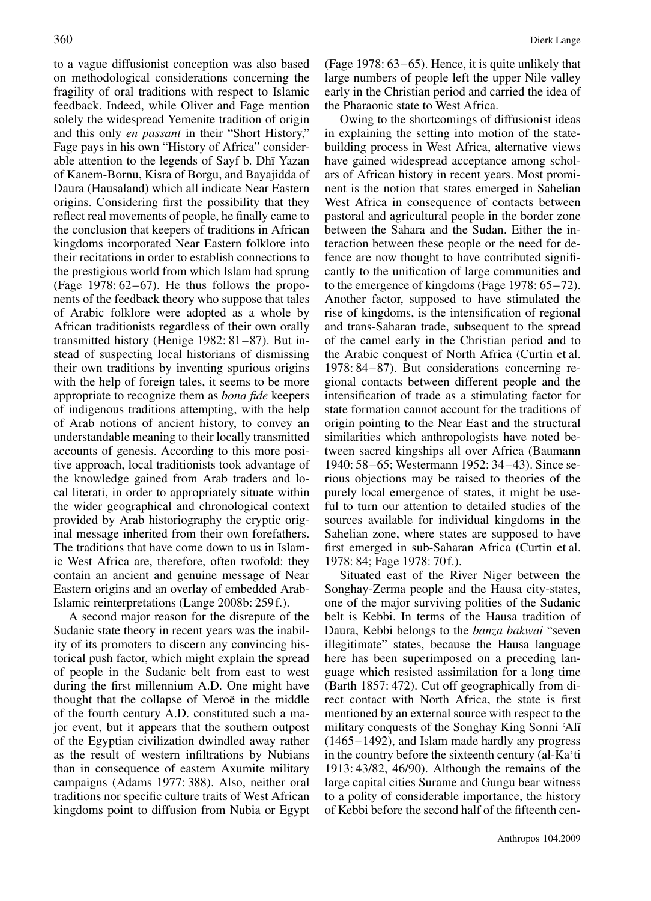to a vague diffusionist conception was also based on methodological considerations concerning the fragility of oral traditions with respect to Islamic feedback. Indeed, while Oliver and Fage mention solely the widespread Yemenite tradition of origin and this only *en passant* in their "Short History," Fage pays in his own "History of Africa" considerable attention to the legends of Sayf b. Dhī Yazan of Kanem-Bornu, Kisra of Borgu, and Bayajidda of Daura (Hausaland) which all indicate Near Eastern origins. Considering first the possibility that they reflect real movements of people, he finally came to the conclusion that keepers of traditions in African kingdoms incorporated Near Eastern folklore into their recitations in order to establish connections to the prestigious world from which Islam had sprung (Fage 1978: 62–67). He thus follows the proponents of the feedback theory who suppose that tales of Arabic folklore were adopted as a whole by African traditionists regardless of their own orally transmitted history (Henige 1982: 81–87). But instead of suspecting local historians of dismissing their own traditions by inventing spurious origins with the help of foreign tales, it seems to be more appropriate to recognize them as *bona fide* keepers of indigenous traditions attempting, with the help of Arab notions of ancient history, to convey an understandable meaning to their locally transmitted accounts of genesis. According to this more positive approach, local traditionists took advantage of the knowledge gained from Arab traders and local literati, in order to appropriately situate within the wider geographical and chronological context provided by Arab historiography the cryptic original message inherited from their own forefathers. The traditions that have come down to us in Islamic West Africa are, therefore, often twofold: they contain an ancient and genuine message of Near Eastern origins and an overlay of embedded Arab-Islamic reinterpretations (Lange 2008b: 259f.).

A second major reason for the disrepute of the Sudanic state theory in recent years was the inability of its promoters to discern any convincing historical push factor, which might explain the spread of people in the Sudanic belt from east to west during the first millennium A.D. One might have thought that the collapse of Meroë in the middle of the fourth century A.D. constituted such a major event, but it appears that the southern outpost of the Egyptian civilization dwindled away rather as the result of western infiltrations by Nubians than in consequence of eastern Axumite military campaigns (Adams 1977: 388). Also, neither oral traditions nor specific culture traits of West African kingdoms point to diffusion from Nubia or Egypt (Fage 1978: 63–65). Hence, it is quite unlikely that large numbers of people left the upper Nile valley early in the Christian period and carried the idea of the Pharaonic state to West Africa.

Owing to the shortcomings of diffusionist ideas in explaining the setting into motion of the statebuilding process in West Africa, alternative views have gained widespread acceptance among scholars of African history in recent years. Most prominent is the notion that states emerged in Sahelian West Africa in consequence of contacts between pastoral and agricultural people in the border zone between the Sahara and the Sudan. Either the interaction between these people or the need for defence are now thought to have contributed significantly to the unification of large communities and to the emergence of kingdoms (Fage 1978: 65–72). Another factor, supposed to have stimulated the rise of kingdoms, is the intensification of regional and trans-Saharan trade, subsequent to the spread of the camel early in the Christian period and to the Arabic conquest of North Africa (Curtin et al. 1978: 84–87). But considerations concerning regional contacts between different people and the intensification of trade as a stimulating factor for state formation cannot account for the traditions of origin pointing to the Near East and the structural similarities which anthropologists have noted between sacred kingships all over Africa (Baumann 1940: 58–65; Westermann 1952: 34–43). Since serious objections may be raised to theories of the purely local emergence of states, it might be useful to turn our attention to detailed studies of the sources available for individual kingdoms in the Sahelian zone, where states are supposed to have first emerged in sub-Saharan Africa (Curtin et al. 1978: 84; Fage 1978: 70f.).

Situated east of the River Niger between the Songhay-Zerma people and the Hausa city-states, one of the major surviving polities of the Sudanic belt is Kebbi. In terms of the Hausa tradition of Daura, Kebbi belongs to the *banza bakwai* "seven illegitimate" states, because the Hausa language here has been superimposed on a preceding language which resisted assimilation for a long time (Barth 1857: 472). Cut off geographically from direct contact with North Africa, the state is first mentioned by an external source with respect to the military conquests of the Songhay King Sonni 'Alī (1465–1492), and Islam made hardly any progress in the country before the sixteenth century (al-Ka·ti 1913: 43/82, 46/90). Although the remains of the large capital cities Surame and Gungu bear witness to a polity of considerable importance, the history of Kebbi before the second half of the fifteenth cen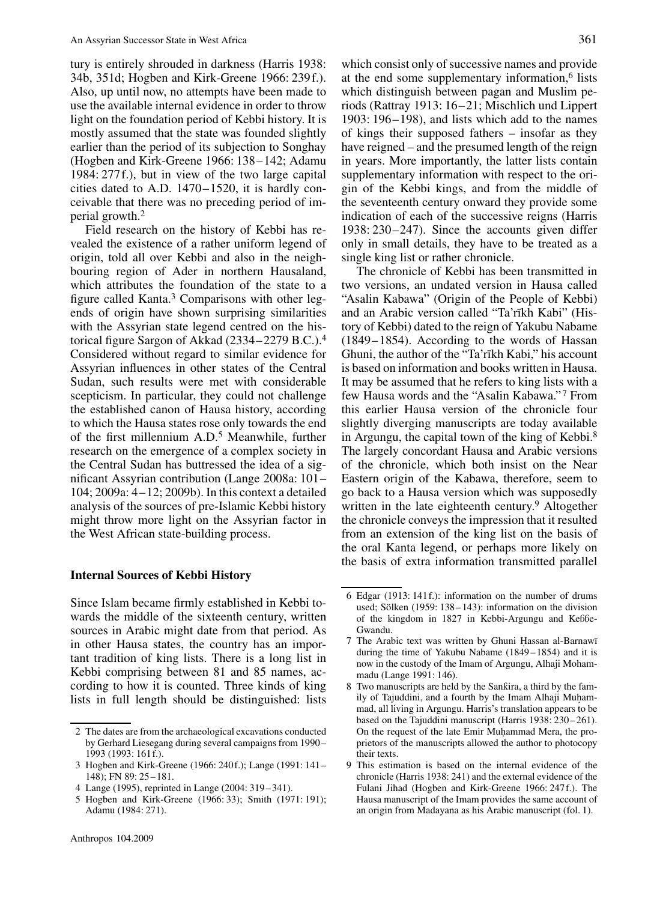tury is entirely shrouded in darkness (Harris 1938: 34b, 351d; Hogben and Kirk-Greene 1966: 239f.). Also, up until now, no attempts have been made to use the available internal evidence in order to throw light on the foundation period of Kebbi history. It is mostly assumed that the state was founded slightly earlier than the period of its subjection to Songhay (Hogben and Kirk-Greene 1966: 138–142; Adamu 1984: 277f.), but in view of the two large capital cities dated to A.D. 1470–1520, it is hardly conceivable that there was no preceding period of imperial growth.2

Field research on the history of Kebbi has revealed the existence of a rather uniform legend of origin, told all over Kebbi and also in the neighbouring region of Ader in northern Hausaland, which attributes the foundation of the state to a figure called Kanta.3 Comparisons with other legends of origin have shown surprising similarities with the Assyrian state legend centred on the historical figure Sargon of Akkad (2334–2279 B.C.).4 Considered without regard to similar evidence for Assyrian influences in other states of the Central Sudan, such results were met with considerable scepticism. In particular, they could not challenge the established canon of Hausa history, according to which the Hausa states rose only towards the end of the first millennium A.D.5 Meanwhile, further research on the emergence of a complex society in the Central Sudan has buttressed the idea of a significant Assyrian contribution (Lange 2008a: 101– 104; 2009a: 4–12; 2009b). In this context a detailed analysis of the sources of pre-Islamic Kebbi history might throw more light on the Assyrian factor in the West African state-building process.

#### **Internal Sources of Kebbi History**

Since Islam became firmly established in Kebbi towards the middle of the sixteenth century, written sources in Arabic might date from that period. As in other Hausa states, the country has an important tradition of king lists. There is a long list in Kebbi comprising between 81 and 85 names, according to how it is counted. Three kinds of king lists in full length should be distinguished: lists

which consist only of successive names and provide at the end some supplementary information,6 lists which distinguish between pagan and Muslim periods (Rattray 1913: 16–21; Mischlich und Lippert 1903: 196–198), and lists which add to the names of kings their supposed fathers – insofar as they have reigned – and the presumed length of the reign in years. More importantly, the latter lists contain supplementary information with respect to the origin of the Kebbi kings, and from the middle of the seventeenth century onward they provide some indication of each of the successive reigns (Harris 1938: 230–247). Since the accounts given differ only in small details, they have to be treated as a single king list or rather chronicle.

The chronicle of Kebbi has been transmitted in two versions, an undated version in Hausa called "Asalin Kabawa" (Origin of the People of Kebbi) and an Arabic version called "Ta'rīkh Kabi" (History of Kebbi) dated to the reign of Yakubu Nabame (1849–1854). According to the words of Hassan Ghuni, the author of the "Ta'rīkh Kabi," his account is based on information and books written in Hausa. It may be assumed that he refers to king lists with a few Hausa words and the "Asalin Kabawa." <sup>7</sup> From this earlier Hausa version of the chronicle four slightly diverging manuscripts are today available in Argungu, the capital town of the king of Kebbi.8 The largely concordant Hausa and Arabic versions of the chronicle, which both insist on the Near Eastern origin of the Kabawa, therefore, seem to go back to a Hausa version which was supposedly written in the late eighteenth century.<sup>9</sup> Altogether the chronicle conveys the impression that it resulted from an extension of the king list on the basis of the oral Kanta legend, or perhaps more likely on the basis of extra information transmitted parallel

<sup>2</sup> The dates are from the archaeological excavations conducted by Gerhard Liesegang during several campaigns from 1990– 1993 (1993: 161f.).

<sup>3</sup> Hogben and Kirk-Greene (1966: 240f.); Lange (1991: 141– 148); FN 89: 25–181.

<sup>4</sup> Lange (1995), reprinted in Lange (2004: 319–341).

<sup>5</sup> Hogben and Kirk-Greene (1966: 33); Smith (1971: 191); Adamu (1984: 271).

<sup>6</sup> Edgar (1913: 141f.): information on the number of drums used; Sölken (1959: 138–143): information on the division of the kingdom in 1827 in Kebbi-Argungu and Kebbe-Gwandu.

<sup>7</sup> The Arabic text was written by Ghuni Hassan al-Barnawī during the time of Yakubu Nabame (1849–1854) and it is now in the custody of the Imam of Argungu, Alhaji Mohammadu (Lange 1991: 146).

<sup>8</sup> Two manuscripts are held by the Sankira, a third by the family of Tajuddini, and a fourth by the Imam Alhaji Muhammad, all living in Argungu. Harris's translation appears to be based on the Tajuddini manuscript (Harris 1938: 230–261). On the request of the late Emir Muhammad Mera, the proprietors of the manuscripts allowed the author to photocopy their texts.

<sup>9</sup> This estimation is based on the internal evidence of the chronicle (Harris 1938: 241) and the external evidence of the Fulani Jihad (Hogben and Kirk-Greene 1966: 247f.). The Hausa manuscript of the Imam provides the same account of an origin from Madayana as his Arabic manuscript (fol. 1).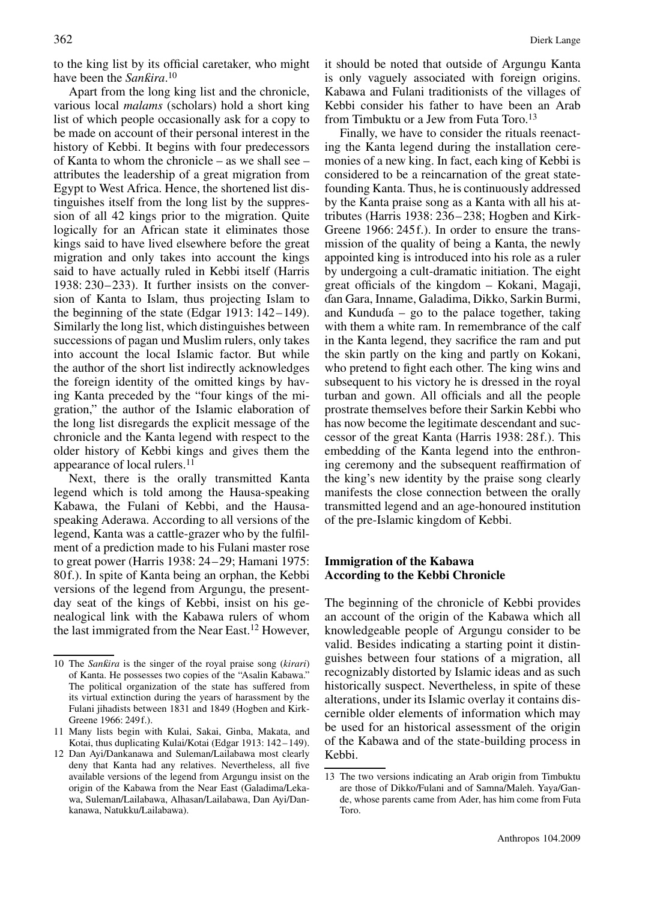to the king list by its official caretaker, who might have been the *Sanƙira*.<sup>10</sup>

Apart from the long king list and the chronicle, various local *malams* (scholars) hold a short king list of which people occasionally ask for a copy to be made on account of their personal interest in the history of Kebbi. It begins with four predecessors of Kanta to whom the chronicle – as we shall see – attributes the leadership of a great migration from Egypt to West Africa. Hence, the shortened list distinguishes itself from the long list by the suppression of all 42 kings prior to the migration. Quite logically for an African state it eliminates those kings said to have lived elsewhere before the great migration and only takes into account the kings said to have actually ruled in Kebbi itself (Harris 1938: 230–233). It further insists on the conversion of Kanta to Islam, thus projecting Islam to the beginning of the state (Edgar 1913: 142–149). Similarly the long list, which distinguishes between successions of pagan und Muslim rulers, only takes into account the local Islamic factor. But while the author of the short list indirectly acknowledges the foreign identity of the omitted kings by having Kanta preceded by the "four kings of the migration," the author of the Islamic elaboration of the long list disregards the explicit message of the chronicle and the Kanta legend with respect to the older history of Kebbi kings and gives them the appearance of local rulers.<sup>11</sup>

Next, there is the orally transmitted Kanta legend which is told among the Hausa-speaking Kabawa, the Fulani of Kebbi, and the Hausaspeaking Aderawa. According to all versions of the legend, Kanta was a cattle-grazer who by the fulfilment of a prediction made to his Fulani master rose to great power (Harris 1938: 24–29; Hamani 1975: 80f.). In spite of Kanta being an orphan, the Kebbi versions of the legend from Argungu, the presentday seat of the kings of Kebbi, insist on his genealogical link with the Kabawa rulers of whom the last immigrated from the Near East.12 However, it should be noted that outside of Argungu Kanta is only vaguely associated with foreign origins. Kabawa and Fulani traditionists of the villages of Kebbi consider his father to have been an Arab from Timbuktu or a Jew from Futa Toro.13

Finally, we have to consider the rituals reenacting the Kanta legend during the installation ceremonies of a new king. In fact, each king of Kebbi is considered to be a reincarnation of the great statefounding Kanta. Thus, he is continuously addressed by the Kanta praise song as a Kanta with all his attributes (Harris 1938: 236–238; Hogben and Kirk-Greene 1966: 245f.). In order to ensure the transmission of the quality of being a Kanta, the newly appointed king is introduced into his role as a ruler by undergoing a cult-dramatic initiation. The eight great officials of the kingdom – Kokani, Magaji, âan Gara, Inname, Galadima, Dikko, Sarkin Burmi, and Kunduda  $-$  go to the palace together, taking with them a white ram. In remembrance of the calf in the Kanta legend, they sacrifice the ram and put the skin partly on the king and partly on Kokani, who pretend to fight each other. The king wins and subsequent to his victory he is dressed in the royal turban and gown. All officials and all the people prostrate themselves before their Sarkin Kebbi who has now become the legitimate descendant and successor of the great Kanta (Harris 1938: 28f.). This embedding of the Kanta legend into the enthroning ceremony and the subsequent reaffirmation of the king's new identity by the praise song clearly manifests the close connection between the orally transmitted legend and an age-honoured institution of the pre-Islamic kingdom of Kebbi.

#### **Immigration of the Kabawa According to the Kebbi Chronicle**

The beginning of the chronicle of Kebbi provides an account of the origin of the Kabawa which all knowledgeable people of Argungu consider to be valid. Besides indicating a starting point it distinguishes between four stations of a migration, all recognizably distorted by Islamic ideas and as such historically suspect. Nevertheless, in spite of these alterations, under its Islamic overlay it contains discernible older elements of information which may be used for an historical assessment of the origin of the Kabawa and of the state-building process in Kebbi.

<sup>10</sup> The *Sankira* is the singer of the royal praise song (*kirari*) of Kanta. He possesses two copies of the "Asalin Kabawa." The political organization of the state has suffered from its virtual extinction during the years of harassment by the Fulani jihadists between 1831 and 1849 (Hogben and Kirk-Greene 1966: 249f.).

<sup>11</sup> Many lists begin with Kulai, Sakai, Ginba, Makata, and Kotai, thus duplicating Kulai/Kotai (Edgar 1913: 142–149).

<sup>12</sup> Dan Ayi/Dankanawa and Suleman/Lailabawa most clearly deny that Kanta had any relatives. Nevertheless, all five available versions of the legend from Argungu insist on the origin of the Kabawa from the Near East (Galadima/Lekawa, Suleman/Lailabawa, Alhasan/Lailabawa, Dan Ayi/Dankanawa, Natukku/Lailabawa).

<sup>13</sup> The two versions indicating an Arab origin from Timbuktu are those of Dikko/Fulani and of Samna/Maleh. Yaya/Gande, whose parents came from Ader, has him come from Futa Toro.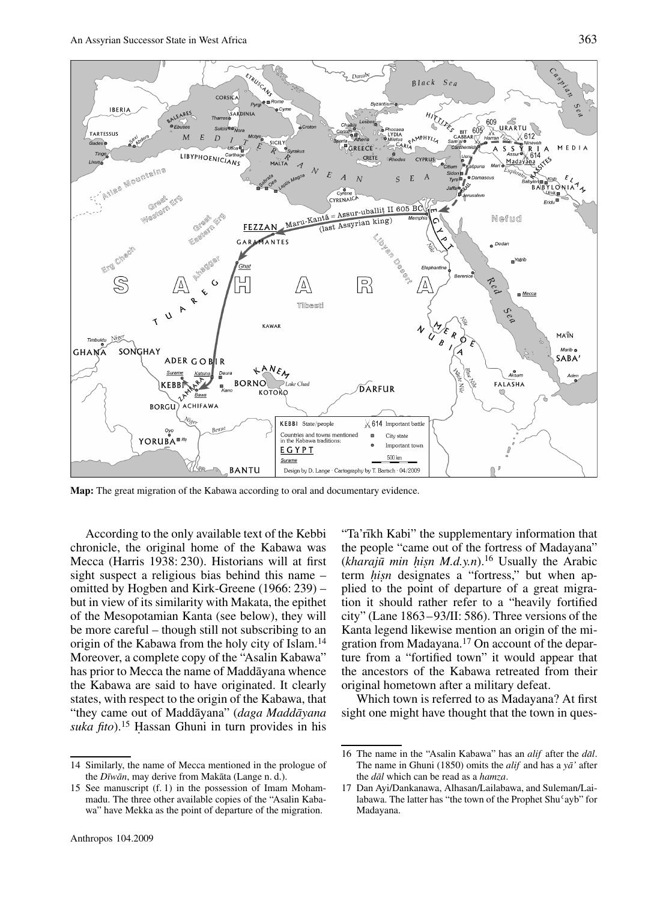

**Map:** The great migration of the Kabawa according to oral and documentary evidence.

According to the only available text of the Kebbi chronicle, the original home of the Kabawa was Mecca (Harris 1938: 230). Historians will at first sight suspect a religious bias behind this name – omitted by Hogben and Kirk-Greene (1966: 239) – but in view of its similarity with Makata, the epithet of the Mesopotamian Kanta (see below), they will be more careful – though still not subscribing to an origin of the Kabawa from the holy city of Islam.14 Moreover, a complete copy of the "Asalin Kabawa" has prior to Mecca the name of Maddayana whence the Kabawa are said to have originated. It clearly states, with respect to the origin of the Kabawa, that "they came out of Maddāyana" (daga Maddāyana suka fito).<sup>15</sup> Hassan Ghuni in turn provides in his

Anthropos 104.2009

"Ta'rīkh Kabi" the supplementary information that the people "came out of the fortress of Madayana"  $(kharaj\bar{u}$  *min hisn*  $M.d.y.n$ .<sup>16</sup> Usually the Arabic term *hisn* designates a "fortress," but when applied to the point of departure of a great migration it should rather refer to a "heavily fortified city" (Lane 1863–93/II: 586). Three versions of the Kanta legend likewise mention an origin of the migration from Madayana.17 On account of the departure from a "fortified town" it would appear that the ancestors of the Kabawa retreated from their original hometown after a military defeat.

Which town is referred to as Madayana? At first sight one might have thought that the town in ques-

<sup>14</sup> Similarly, the name of Mecca mentioned in the prologue of the *Dīwān*, may derive from Makāta (Lange n. d.).

<sup>15</sup> See manuscript (f. 1) in the possession of Imam Mohammadu. The three other available copies of the "Asalin Kabawa" have Mekka as the point of departure of the migration.

<sup>16</sup> The name in the "Asalin Kabawa" has an *alif* after the *dal*. The name in Ghuni (1850) omits the *alif* and has a  $y\bar{a}$ ' after the *dal¯* which can be read as a *hamza*.

<sup>17</sup> Dan Ayi/Dankanawa, Alhasan/Lailabawa, and Suleman/Lailabawa. The latter has "the town of the Prophet Shu'ayb" for Madayana.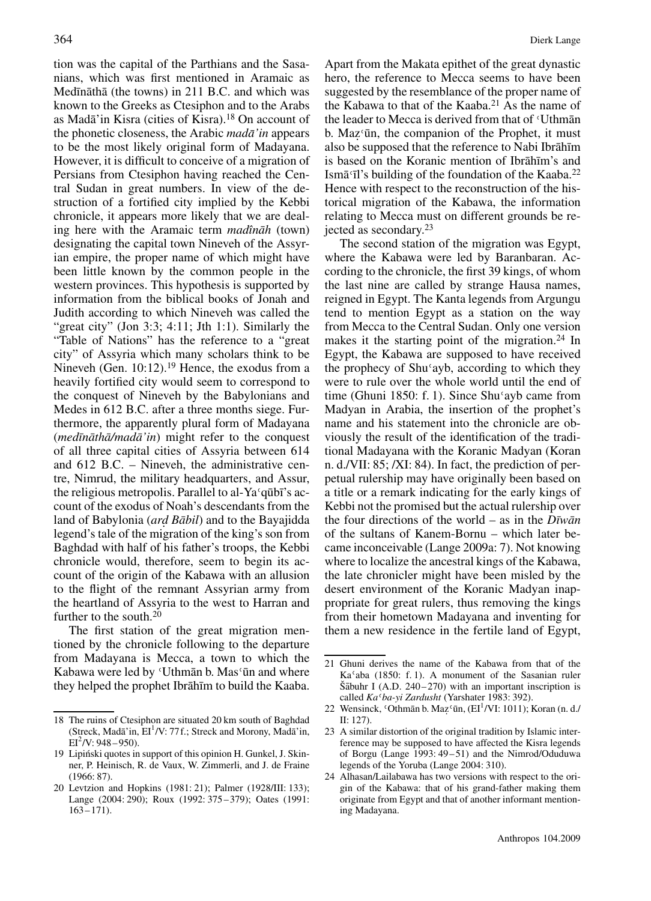tion was the capital of the Parthians and the Sasanians, which was first mentioned in Aramaic as Medīnāthā (the towns) in 211 B.C. and which was known to the Greeks as Ctesiphon and to the Arabs as Madā'in Kisra (cities of Kisra). $18$  On account of the phonetic closeness, the Arabic *mada'in* appears to be the most likely original form of Madayana. However, it is difficult to conceive of a migration of Persians from Ctesiphon having reached the Central Sudan in great numbers. In view of the destruction of a fortified city implied by the Kebbi chronicle, it appears more likely that we are dealing here with the Aramaic term *madînāh* (town) designating the capital town Nineveh of the Assyrian empire, the proper name of which might have been little known by the common people in the western provinces. This hypothesis is supported by information from the biblical books of Jonah and Judith according to which Nineveh was called the "great city" (Jon 3:3; 4:11; Jth 1:1). Similarly the "Table of Nations" has the reference to a "great city" of Assyria which many scholars think to be Nineveh (Gen. 10:12).<sup>19</sup> Hence, the exodus from a heavily fortified city would seem to correspond to the conquest of Nineveh by the Babylonians and Medes in 612 B.C. after a three months siege. Furthermore, the apparently plural form of Madayana  $(med\bar{m}\bar{a}th\bar{a}/m\bar{a}\bar{a}^{\prime}\bar{m})$  might refer to the conquest of all three capital cities of Assyria between 614 and 612 B.C. – Nineveh, the administrative centre, Nimrud, the military headquarters, and Assur, the religious metropolis. Parallel to al-Ya<sup> $\epsilon$ </sup>qub<del>i</del>'s account of the exodus of Noah's descendants from the land of Babylonia (ard Bābil) and to the Bayajidda legend's tale of the migration of the king's son from Baghdad with half of his father's troops, the Kebbi chronicle would, therefore, seem to begin its account of the origin of the Kabawa with an allusion to the flight of the remnant Assyrian army from the heartland of Assyria to the west to Harran and further to the south.<sup>20</sup>

The first station of the great migration mentioned by the chronicle following to the departure from Madayana is Mecca, a town to which the Kabawa were led by 'Uthman b. Mas'un and where they helped the prophet Ibrāhīm to build the Kaaba.

Apart from the Makata epithet of the great dynastic hero, the reference to Mecca seems to have been suggested by the resemblance of the proper name of the Kabawa to that of the Kaaba.<sup>21</sup> As the name of the leader to Mecca is derived from that of 'Uthman b. Maz<sup>*c*</sup>ūn, the companion of the Prophet, it must also be supposed that the reference to Nabi Ibrāhīm is based on the Koranic mention of Ibrahīm's and Ismā I's building of the foundation of the Kaaba.<sup>22</sup> Hence with respect to the reconstruction of the historical migration of the Kabawa, the information relating to Mecca must on different grounds be rejected as secondary.23

The second station of the migration was Egypt, where the Kabawa were led by Baranbaran. According to the chronicle, the first 39 kings, of whom the last nine are called by strange Hausa names, reigned in Egypt. The Kanta legends from Argungu tend to mention Egypt as a station on the way from Mecca to the Central Sudan. Only one version makes it the starting point of the migration.<sup>24</sup> In Egypt, the Kabawa are supposed to have received the prophecy of Shu<sup>*(ayb, according to which they*)</sup> were to rule over the whole world until the end of time (Ghuni 1850: f. 1). Since  $\text{Shu}'$  ayb came from Madyan in Arabia, the insertion of the prophet's name and his statement into the chronicle are obviously the result of the identification of the traditional Madayana with the Koranic Madyan (Koran n. d./VII: 85; /XI: 84). In fact, the prediction of perpetual rulership may have originally been based on a title or a remark indicating for the early kings of Kebbi not the promised but the actual rulership over the four directions of the world – as in the  $D\bar{v}w\bar{a}n$ of the sultans of Kanem-Bornu – which later became inconceivable (Lange 2009a: 7). Not knowing where to localize the ancestral kings of the Kabawa, the late chronicler might have been misled by the desert environment of the Koranic Madyan inappropriate for great rulers, thus removing the kings from their hometown Madayana and inventing for them a new residence in the fertile land of Egypt,

<sup>18</sup> The ruins of Ctesiphon are situated 20 km south of Baghdad (Streck, Madā'in, EI<sup>1</sup>/V: 77f.; Streck and Morony, Madā'in,  $EI^2/V$ : 948 – 950).

<sup>19</sup> Lipinski quotes in support of this opinion H. Gunkel, J. Skin- ´ ner, P. Heinisch, R. de Vaux, W. Zimmerli, and J. de Fraine (1966: 87).

<sup>20</sup> Levtzion and Hopkins (1981: 21); Palmer (1928/III: 133); Lange (2004: 290); Roux (1992: 375–379); Oates (1991: 163–171).

<sup>21</sup> Ghuni derives the name of the Kabawa from that of the  $Ka<sup>c</sup>aba$  (1850: f. 1). A monument of the Sasanian ruler  $\text{\r{S}}$  abuhr I (A.D. 240–270) with an important inscription is called *Ka*–*ba-yi Zardusht* (Yarshater 1983: 392).

<sup>22</sup> Wensinck, 'Othmān b. Maz'ūn,  $\left(EI^1/VI: 1011\right)$ ; Koran (n. d./ II: 127).

<sup>23</sup> A similar distortion of the original tradition by Islamic interference may be supposed to have affected the Kisra legends of Borgu (Lange 1993: 49–51) and the Nimrod/Oduduwa legends of the Yoruba (Lange 2004: 310).

<sup>24</sup> Alhasan/Lailabawa has two versions with respect to the origin of the Kabawa: that of his grand-father making them originate from Egypt and that of another informant mentioning Madayana.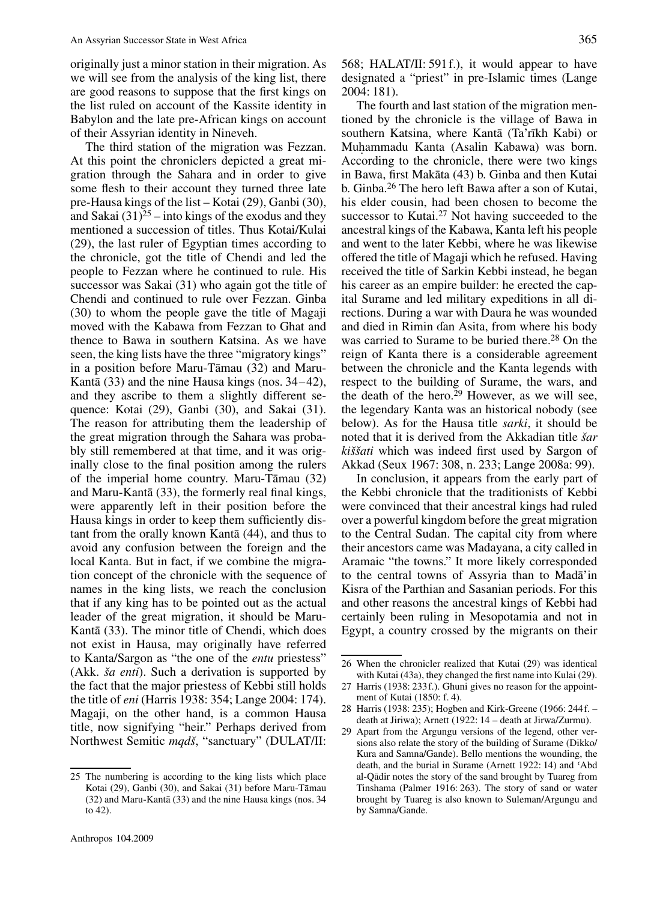originally just a minor station in their migration. As we will see from the analysis of the king list, there are good reasons to suppose that the first kings on the list ruled on account of the Kassite identity in Babylon and the late pre-African kings on account of their Assyrian identity in Nineveh.

The third station of the migration was Fezzan. At this point the chroniclers depicted a great migration through the Sahara and in order to give some flesh to their account they turned three late pre-Hausa kings of the list – Kotai (29), Ganbi (30), and Sakai  $(31)^{25}$  – into kings of the exodus and they mentioned a succession of titles. Thus Kotai/Kulai (29), the last ruler of Egyptian times according to the chronicle, got the title of Chendi and led the people to Fezzan where he continued to rule. His successor was Sakai (31) who again got the title of Chendi and continued to rule over Fezzan. Ginba (30) to whom the people gave the title of Magaji moved with the Kabawa from Fezzan to Ghat and thence to Bawa in southern Katsina. As we have seen, the king lists have the three "migratory kings" in a position before Maru-Tāmau (32) and Maru-Kantā  $(33)$  and the nine Hausa kings (nos.  $34-42$ ), and they ascribe to them a slightly different sequence: Kotai (29), Ganbi (30), and Sakai (31). The reason for attributing them the leadership of the great migration through the Sahara was probably still remembered at that time, and it was originally close to the final position among the rulers of the imperial home country. Maru-T $\bar{a}$ mau (32) and Maru-Kantā  $(33)$ , the formerly real final kings, were apparently left in their position before the Hausa kings in order to keep them sufficiently distant from the orally known Kantā (44), and thus to avoid any confusion between the foreign and the local Kanta. But in fact, if we combine the migration concept of the chronicle with the sequence of names in the king lists, we reach the conclusion that if any king has to be pointed out as the actual leader of the great migration, it should be Maru-Kantā (33). The minor title of Chendi, which does not exist in Hausa, may originally have referred to Kanta/Sargon as "the one of the *entu* priestess" (Akk. *ša enti*). Such a derivation is supported by the fact that the major priestess of Kebbi still holds the title of *eni* (Harris 1938: 354; Lange 2004: 174). Magaji, on the other hand, is a common Hausa title, now signifying "heir." Perhaps derived from Northwest Semitic *mqdš*, "sanctuary" (DULAT/II:

25 The numbering is according to the king lists which place Kotai (29), Ganbi (30), and Sakai (31) before Maru-Tāmau (32) and Maru-Kantā (33) and the nine Hausa kings (nos. 34 to 42).

Anthropos 104.2009

568; HALAT/II: 591f.), it would appear to have designated a "priest" in pre-Islamic times (Lange 2004: 181).

The fourth and last station of the migration mentioned by the chronicle is the village of Bawa in southern Katsina, where Kantā (Ta'rīkh Kabi) or Muhammadu Kanta (Asalin Kabawa) was born. According to the chronicle, there were two kings in Bawa, first Makāta (43) b. Ginba and then Kutai b. Ginba.26 The hero left Bawa after a son of Kutai, his elder cousin, had been chosen to become the successor to Kutai.<sup>27</sup> Not having succeeded to the ancestral kings of the Kabawa, Kanta left his people and went to the later Kebbi, where he was likewise offered the title of Magaji which he refused. Having received the title of Sarkin Kebbi instead, he began his career as an empire builder: he erected the capital Surame and led military expeditions in all directions. During a war with Daura he was wounded and died in Rimin âan Asita, from where his body was carried to Surame to be buried there.<sup>28</sup> On the reign of Kanta there is a considerable agreement between the chronicle and the Kanta legends with respect to the building of Surame, the wars, and the death of the hero.<sup>29</sup> However, as we will see, the legendary Kanta was an historical nobody (see below). As for the Hausa title *sarki*, it should be noted that it is derived from the Akkadian title *šar kiššati* which was indeed first used by Sargon of Akkad (Seux 1967: 308, n. 233; Lange 2008a: 99).

In conclusion, it appears from the early part of the Kebbi chronicle that the traditionists of Kebbi were convinced that their ancestral kings had ruled over a powerful kingdom before the great migration to the Central Sudan. The capital city from where their ancestors came was Madayana, a city called in Aramaic "the towns." It more likely corresponded to the central towns of Assyria than to Mada'in Kisra of the Parthian and Sasanian periods. For this and other reasons the ancestral kings of Kebbi had certainly been ruling in Mesopotamia and not in Egypt, a country crossed by the migrants on their

<sup>26</sup> When the chronicler realized that Kutai (29) was identical with Kutai (43a), they changed the first name into Kulai (29).

<sup>27</sup> Harris (1938: 233f.). Ghuni gives no reason for the appointment of Kutai (1850: f. 4).

<sup>28</sup> Harris (1938: 235); Hogben and Kirk-Greene (1966: 244f. – death at Jiriwa); Arnett (1922: 14 – death at Jirwa/Zurmu).

<sup>29</sup> Apart from the Argungu versions of the legend, other versions also relate the story of the building of Surame (Dikko/ Kura and Samna/Gande). Bello mentions the wounding, the Rara and Sanma Gande). Beno members are wounding, the death, and the burial in Surame (Arnett 1922: 14) and 'Abd al-Qādir notes the story of the sand brought by Tuareg from Tinshama (Palmer 1916: 263). The story of sand or water brought by Tuareg is also known to Suleman/Argungu and by Samna/Gande.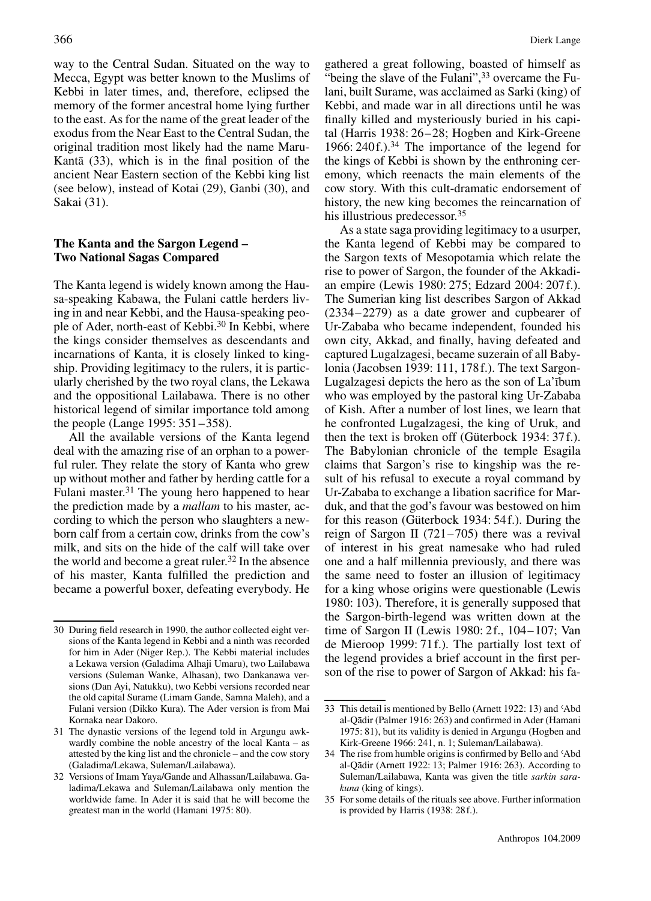way to the Central Sudan. Situated on the way to Mecca, Egypt was better known to the Muslims of Kebbi in later times, and, therefore, eclipsed the memory of the former ancestral home lying further to the east. As for the name of the great leader of the exodus from the Near East to the Central Sudan, the original tradition most likely had the name Maru-Kantā  $(33)$ , which is in the final position of the ancient Near Eastern section of the Kebbi king list (see below), instead of Kotai (29), Ganbi (30), and Sakai (31).

#### **The Kanta and the Sargon Legend – Two National Sagas Compared**

The Kanta legend is widely known among the Hausa-speaking Kabawa, the Fulani cattle herders living in and near Kebbi, and the Hausa-speaking people of Ader, north-east of Kebbi.<sup>30</sup> In Kebbi, where the kings consider themselves as descendants and incarnations of Kanta, it is closely linked to kingship. Providing legitimacy to the rulers, it is particularly cherished by the two royal clans, the Lekawa and the oppositional Lailabawa. There is no other historical legend of similar importance told among the people (Lange 1995: 351–358).

All the available versions of the Kanta legend deal with the amazing rise of an orphan to a powerful ruler. They relate the story of Kanta who grew up without mother and father by herding cattle for a Fulani master.31 The young hero happened to hear the prediction made by a *mallam* to his master, according to which the person who slaughters a newborn calf from a certain cow, drinks from the cow's milk, and sits on the hide of the calf will take over the world and become a great ruler.<sup>32</sup> In the absence of his master, Kanta fulfilled the prediction and became a powerful boxer, defeating everybody. He

gathered a great following, boasted of himself as "being the slave of the Fulani",<sup>33</sup> overcame the Fulani, built Surame, was acclaimed as Sarki (king) of Kebbi, and made war in all directions until he was finally killed and mysteriously buried in his capital (Harris 1938: 26–28; Hogben and Kirk-Greene 1966: 240f.).<sup>34</sup> The importance of the legend for the kings of Kebbi is shown by the enthroning ceremony, which reenacts the main elements of the cow story. With this cult-dramatic endorsement of history, the new king becomes the reincarnation of his illustrious predecessor.<sup>35</sup>

As a state saga providing legitimacy to a usurper, the Kanta legend of Kebbi may be compared to the Sargon texts of Mesopotamia which relate the rise to power of Sargon, the founder of the Akkadian empire (Lewis 1980: 275; Edzard 2004: 207f.). The Sumerian king list describes Sargon of Akkad (2334–2279) as a date grower and cupbearer of Ur-Zababa who became independent, founded his own city, Akkad, and finally, having defeated and captured Lugalzagesi, became suzerain of all Babylonia (Jacobsen 1939: 111, 178f.). The text Sargon-Lugalzagesi depicts the hero as the son of La'ībum who was employed by the pastoral king Ur-Zababa of Kish. After a number of lost lines, we learn that he confronted Lugalzagesi, the king of Uruk, and then the text is broken off (Güterbock 1934: 37f.). The Babylonian chronicle of the temple Esagila claims that Sargon's rise to kingship was the result of his refusal to execute a royal command by Ur-Zababa to exchange a libation sacrifice for Marduk, and that the god's favour was bestowed on him for this reason (Güterbock 1934: 54f.). During the reign of Sargon II (721–705) there was a revival of interest in his great namesake who had ruled one and a half millennia previously, and there was the same need to foster an illusion of legitimacy for a king whose origins were questionable (Lewis 1980: 103). Therefore, it is generally supposed that the Sargon-birth-legend was written down at the time of Sargon II (Lewis 1980: 2f., 104–107; Van de Mieroop 1999: 71f.). The partially lost text of the legend provides a brief account in the first person of the rise to power of Sargon of Akkad: his fa-

<sup>30</sup> During field research in 1990, the author collected eight versions of the Kanta legend in Kebbi and a ninth was recorded for him in Ader (Niger Rep.). The Kebbi material includes a Lekawa version (Galadima Alhaji Umaru), two Lailabawa versions (Suleman Wanke, Alhasan), two Dankanawa versions (Dan Ayi, Natukku), two Kebbi versions recorded near the old capital Surame (Limam Gande, Samna Maleh), and a Fulani version (Dikko Kura). The Ader version is from Mai Kornaka near Dakoro.

<sup>31</sup> The dynastic versions of the legend told in Argungu awkwardly combine the noble ancestry of the local Kanta – as attested by the king list and the chronicle – and the cow story (Galadima/Lekawa, Suleman/Lailabawa).

<sup>32</sup> Versions of Imam Yaya/Gande and Alhassan/Lailabawa. Galadima/Lekawa and Suleman/Lailabawa only mention the worldwide fame. In Ader it is said that he will become the greatest man in the world (Hamani 1975: 80).

<sup>33</sup> This detail is mentioned by Bello (Arnett 1922: 13) and 'Abd al-Qādir (Palmer 1916: 263) and confirmed in Ader (Hamani 1975: 81), but its validity is denied in Argungu (Hogben and Kirk-Greene 1966: 241, n. 1; Suleman/Lailabawa).

<sup>34</sup> The rise from humble origins is confirmed by Bello and 'Abd al-Qadir (Arnett 1922: 13; Palmer 1916: 263). According to ¯ Suleman/Lailabawa, Kanta was given the title *sarkin sarakuna* (king of kings).

<sup>35</sup> For some details of the rituals see above. Further information is provided by Harris (1938: 28f.).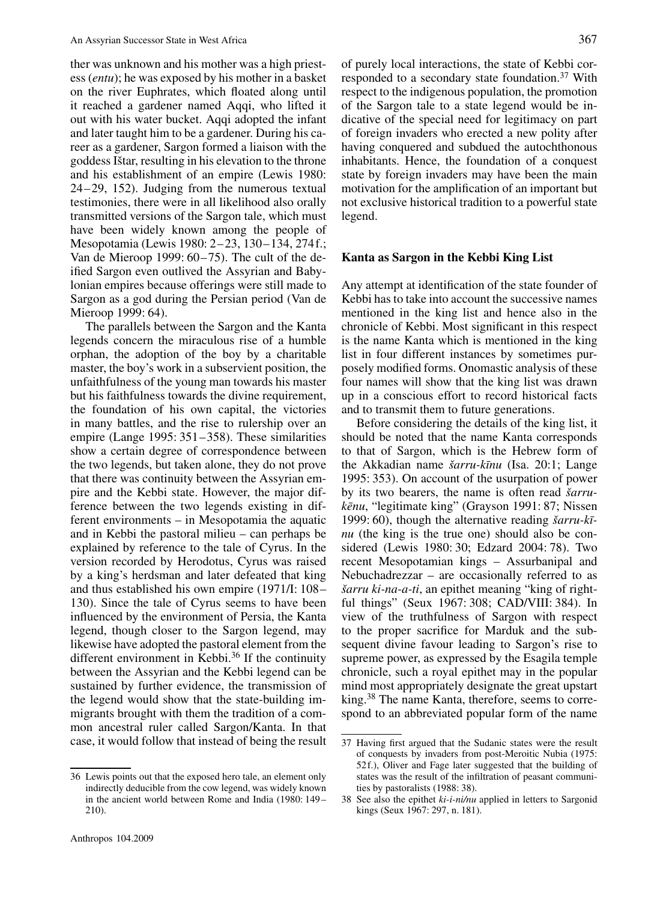ther was unknown and his mother was a high priestess (*entu*); he was exposed by his mother in a basket on the river Euphrates, which floated along until it reached a gardener named Aqqi, who lifted it out with his water bucket. Aqqi adopted the infant and later taught him to be a gardener. During his career as a gardener, Sargon formed a liaison with the goddess Ištar, resulting in his elevation to the throne and his establishment of an empire (Lewis 1980: 24–29, 152). Judging from the numerous textual testimonies, there were in all likelihood also orally transmitted versions of the Sargon tale, which must have been widely known among the people of Mesopotamia (Lewis 1980: 2–23, 130–134, 274f.; Van de Mieroop 1999: 60–75). The cult of the deified Sargon even outlived the Assyrian and Babylonian empires because offerings were still made to Sargon as a god during the Persian period (Van de Mieroop 1999: 64).

The parallels between the Sargon and the Kanta legends concern the miraculous rise of a humble orphan, the adoption of the boy by a charitable master, the boy's work in a subservient position, the unfaithfulness of the young man towards his master but his faithfulness towards the divine requirement, the foundation of his own capital, the victories in many battles, and the rise to rulership over an empire (Lange 1995: 351–358). These similarities show a certain degree of correspondence between the two legends, but taken alone, they do not prove that there was continuity between the Assyrian empire and the Kebbi state. However, the major difference between the two legends existing in different environments – in Mesopotamia the aquatic and in Kebbi the pastoral milieu – can perhaps be explained by reference to the tale of Cyrus. In the version recorded by Herodotus, Cyrus was raised by a king's herdsman and later defeated that king and thus established his own empire (1971/I: 108– 130). Since the tale of Cyrus seems to have been influenced by the environment of Persia, the Kanta legend, though closer to the Sargon legend, may likewise have adopted the pastoral element from the different environment in Kebbi.<sup>36</sup> If the continuity between the Assyrian and the Kebbi legend can be sustained by further evidence, the transmission of the legend would show that the state-building immigrants brought with them the tradition of a common ancestral ruler called Sargon/Kanta. In that case, it would follow that instead of being the result of purely local interactions, the state of Kebbi corresponded to a secondary state foundation.37 With respect to the indigenous population, the promotion of the Sargon tale to a state legend would be indicative of the special need for legitimacy on part of foreign invaders who erected a new polity after having conquered and subdued the autochthonous inhabitants. Hence, the foundation of a conquest state by foreign invaders may have been the main motivation for the amplification of an important but not exclusive historical tradition to a powerful state legend.

#### **Kanta as Sargon in the Kebbi King List**

Any attempt at identification of the state founder of Kebbi has to take into account the successive names mentioned in the king list and hence also in the chronicle of Kebbi. Most significant in this respect is the name Kanta which is mentioned in the king list in four different instances by sometimes purposely modified forms. Onomastic analysis of these four names will show that the king list was drawn up in a conscious effort to record historical facts and to transmit them to future generations.

Before considering the details of the king list, it should be noted that the name Kanta corresponds to that of Sargon, which is the Hebrew form of the Akkadian name *šarru-k¯ınu* (Isa. 20:1; Lange 1995: 353). On account of the usurpation of power by its two bearers, the name is often read *šarrukēnu*, "legitimate king" (Grayson 1991: 87; Nissen 1999: 60), though the alternative reading *šarru-k¯ınu* (the king is the true one) should also be considered (Lewis 1980: 30; Edzard 2004: 78). Two recent Mesopotamian kings – Assurbanipal and Nebuchadrezzar – are occasionally referred to as *šarru ki-na-a-ti*, an epithet meaning "king of rightful things" (Seux 1967: 308; CAD/VIII: 384). In view of the truthfulness of Sargon with respect to the proper sacrifice for Marduk and the subsequent divine favour leading to Sargon's rise to supreme power, as expressed by the Esagila temple chronicle, such a royal epithet may in the popular mind most appropriately designate the great upstart king.38 The name Kanta, therefore, seems to correspond to an abbreviated popular form of the name

<sup>36</sup> Lewis points out that the exposed hero tale, an element only indirectly deducible from the cow legend, was widely known in the ancient world between Rome and India (1980: 149– 210).

<sup>37</sup> Having first argued that the Sudanic states were the result of conquests by invaders from post-Meroitic Nubia (1975: 52f.), Oliver and Fage later suggested that the building of states was the result of the infiltration of peasant communities by pastoralists (1988: 38).

<sup>38</sup> See also the epithet *ki-i-ni/nu* applied in letters to Sargonid kings (Seux 1967: 297, n. 181).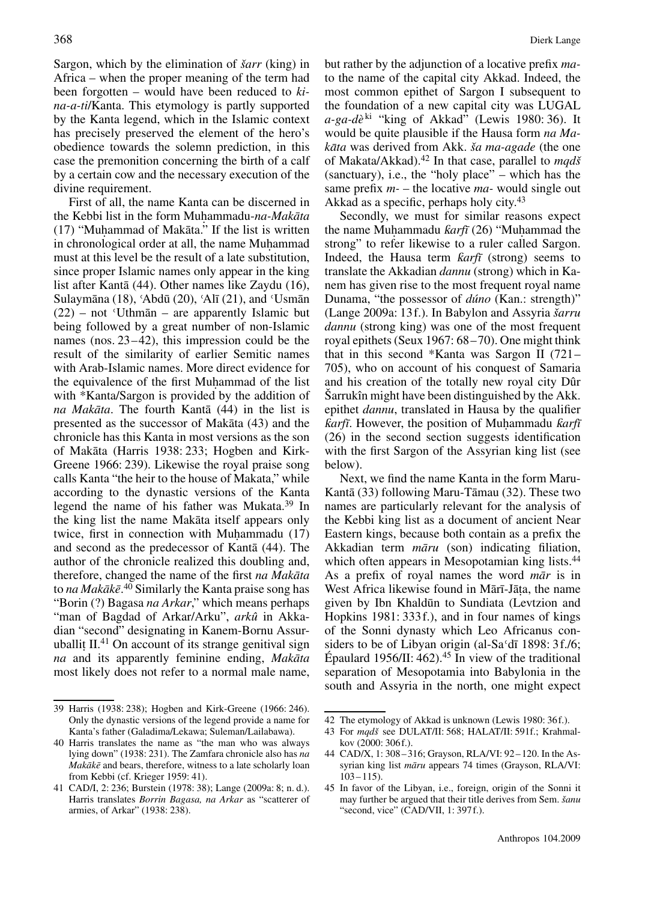Sargon, which by the elimination of *šarr* (king) in Africa – when the proper meaning of the term had been forgotten – would have been reduced to *kina-a-ti*/Kanta. This etymology is partly supported by the Kanta legend, which in the Islamic context has precisely preserved the element of the hero's obedience towards the solemn prediction, in this case the premonition concerning the birth of a calf by a certain cow and the necessary execution of the divine requirement.

First of all, the name Kanta can be discerned in the Kebbi list in the form Muhammadu-na-Makāta  $(17)$  "Muhammad of Makāta." If the list is written in chronological order at all, the name Muhammad must at this level be the result of a late substitution, since proper Islamic names only appear in the king list after Kantā  $(44)$ . Other names like Zaydu  $(16)$ , Sulaymāna (18), 'Abdū (20), 'Alī (21), and 'Usmān  $(22)$  – not 'Uthman – are apparently Islamic but being followed by a great number of non-Islamic names (nos. 23–42), this impression could be the result of the similarity of earlier Semitic names with Arab-Islamic names. More direct evidence for the equivalence of the first Muhammad of the list with \*Kanta/Sargon is provided by the addition of *na Makāta*. The fourth Kantā (44) in the list is presented as the successor of Mak $\bar{a}$ ta (43) and the chronicle has this Kanta in most versions as the son of Makāta (Harris 1938: 233; Hogben and Kirk-Greene 1966: 239). Likewise the royal praise song calls Kanta "the heir to the house of Makata," while according to the dynastic versions of the Kanta legend the name of his father was Mukata.39 In the king list the name Makata itself appears only twice, first in connection with Muhammadu  $(17)$ and second as the predecessor of Kanta  $(44)$ . The author of the chronicle realized this doubling and, therefore, changed the name of the first *na Makāta* to *na Makākē*.<sup>40</sup> Similarly the Kanta praise song has "Borin (?) Bagasa *na Arkar*," which means perhaps "man of Bagdad of Arkar/Arku", *arkû* in Akkadian "second" designating in Kanem-Bornu Assuruballit  $II^{41}$  On account of its strange genitival sign *na* and its apparently feminine ending, *Makāta* most likely does not refer to a normal male name,

but rather by the adjunction of a locative prefix *ma*to the name of the capital city Akkad. Indeed, the most common epithet of Sargon I subsequent to the foundation of a new capital city was LUGAL a-ga-dè<sup>ki</sup> "king of Akkad" (Lewis 1980: 36). It would be quite plausible if the Hausa form *na Makāta* was derived from Akk. *ša ma-agade* (the one of Makata/Akkad).42 In that case, parallel to *mqdš* (sanctuary), i.e., the "holy place" – which has the same prefix *m-* – the locative *ma-* would single out Akkad as a specific, perhaps holy city.<sup>43</sup>

Secondly, we must for similar reasons expect the name Muhammadu *farft* (26) "Muhammad the strong" to refer likewise to a ruler called Sargon. Indeed, the Hausa term *farfī* (strong) seems to translate the Akkadian *dannu* (strong) which in Kanem has given rise to the most frequent royal name Dunama, "the possessor of *dúno* (Kan.: strength)" (Lange 2009a: 13f.). In Babylon and Assyria *šarru dannu* (strong king) was one of the most frequent royal epithets (Seux 1967: 68–70). One might think that in this second \*Kanta was Sargon II (721– 705), who on account of his conquest of Samaria and his creation of the totally new royal city Dûr Šarrukîn might have been distinguished by the Akk. epithet *dannu*, translated in Hausa by the qualifier *farfī*. However, the position of Muhammadu *farfī* (26) in the second section suggests identification with the first Sargon of the Assyrian king list (see below).

Next, we find the name Kanta in the form Maru-Kantā  $(33)$  following Maru-Tāmau  $(32)$ . These two names are particularly relevant for the analysis of the Kebbi king list as a document of ancient Near Eastern kings, because both contain as a prefix the Akkadian term *māru* (son) indicating filiation, which often appears in Mesopotamian king lists.<sup>44</sup> As a prefix of royal names the word  $m\bar{a}r$  is in West Africa likewise found in Mārī-Jāta, the name given by Ibn Khaldūn to Sundiata (Levtzion and Hopkins 1981: 333f.), and in four names of kings of the Sonni dynasty which Leo Africanus considers to be of Libyan origin (al-Sa $\overline{d}$  1898: 3f./6; Épaulard 1956/II:  $462$ ).<sup>45</sup> In view of the traditional separation of Mesopotamia into Babylonia in the south and Assyria in the north, one might expect

<sup>39</sup> Harris (1938: 238); Hogben and Kirk-Greene (1966: 246). Only the dynastic versions of the legend provide a name for Kanta's father (Galadima/Lekawa; Suleman/Lailabawa).

<sup>40</sup> Harris translates the name as "the man who was always lying down" (1938: 231). The Zamfara chronicle also has *na Makākē* and bears, therefore, witness to a late scholarly loan from Kebbi (cf. Krieger 1959: 41).

<sup>41</sup> CAD/I, 2: 236; Burstein (1978: 38); Lange (2009a: 8; n. d.). Harris translates *Borrin Bagasa, na Arkar* as "scatterer of armies, of Arkar" (1938: 238).

<sup>42</sup> The etymology of Akkad is unknown (Lewis 1980: 36f.).

<sup>43</sup> For *mqdš* see DULAT/II: 568; HALAT/II: 591f.; Krahmalkov (2000: 306f.).

<sup>44</sup> CAD/X, 1: 308–316; Grayson, RLA/VI: 92–120. In the Assyrian king list *māru* appears 74 times (Grayson, RLA/VI: 103–115).

<sup>45</sup> In favor of the Libyan, i.e., foreign, origin of the Sonni it may further be argued that their title derives from Sem. *šanu* "second, vice" (CAD/VII, 1: 397f.).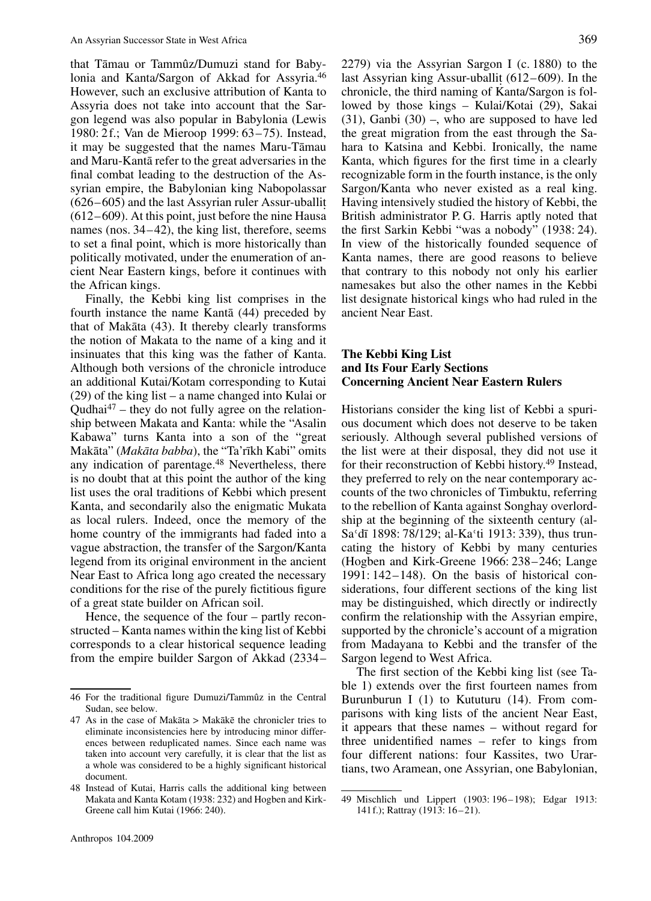that Tāmau or Tammûz/Dumuzi stand for Babylonia and Kanta/Sargon of Akkad for Assyria.46 However, such an exclusive attribution of Kanta to Assyria does not take into account that the Sargon legend was also popular in Babylonia (Lewis 1980: 2f.; Van de Mieroop 1999: 63–75). Instead, it may be suggested that the names Maru-Tāmau and Maru-Kanta refer to the great adversaries in the ¯ final combat leading to the destruction of the Assyrian empire, the Babylonian king Nabopolassar  $(626-605)$  and the last Assyrian ruler Assur-uballit.  $(612-609)$ . At this point, just before the nine Hausa names (nos. 34–42), the king list, therefore, seems to set a final point, which is more historically than politically motivated, under the enumeration of ancient Near Eastern kings, before it continues with the African kings.

Finally, the Kebbi king list comprises in the fourth instance the name Kantā  $(44)$  preceded by that of Makata  $(43)$ . It thereby clearly transforms the notion of Makata to the name of a king and it insinuates that this king was the father of Kanta. Although both versions of the chronicle introduce an additional Kutai/Kotam corresponding to Kutai (29) of the king list – a name changed into Kulai or Qudhai $47$  – they do not fully agree on the relationship between Makata and Kanta: while the "Asalin Kabawa" turns Kanta into a son of the "great Makāta" (Makāta babba), the "Ta'rīkh Kabi" omits any indication of parentage.48 Nevertheless, there is no doubt that at this point the author of the king list uses the oral traditions of Kebbi which present Kanta, and secondarily also the enigmatic Mukata as local rulers. Indeed, once the memory of the home country of the immigrants had faded into a vague abstraction, the transfer of the Sargon/Kanta legend from its original environment in the ancient Near East to Africa long ago created the necessary conditions for the rise of the purely fictitious figure of a great state builder on African soil.

Hence, the sequence of the four – partly reconstructed – Kanta names within the king list of Kebbi corresponds to a clear historical sequence leading from the empire builder Sargon of Akkad (2334–

last Assyrian king Assur-uballit  $(612–609)$ . In the chronicle, the third naming of Kanta/Sargon is followed by those kings – Kulai/Kotai (29), Sakai  $(31)$ , Ganbi  $(30)$  –, who are supposed to have led the great migration from the east through the Sahara to Katsina and Kebbi. Ironically, the name Kanta, which figures for the first time in a clearly recognizable form in the fourth instance, is the only Sargon/Kanta who never existed as a real king. Having intensively studied the history of Kebbi, the British administrator P. G. Harris aptly noted that the first Sarkin Kebbi "was a nobody" (1938: 24). In view of the historically founded sequence of Kanta names, there are good reasons to believe that contrary to this nobody not only his earlier namesakes but also the other names in the Kebbi list designate historical kings who had ruled in the ancient Near East.

#### **The Kebbi King List and Its Four Early Sections Concerning Ancient Near Eastern Rulers**

Historians consider the king list of Kebbi a spurious document which does not deserve to be taken seriously. Although several published versions of the list were at their disposal, they did not use it for their reconstruction of Kebbi history.49 Instead, they preferred to rely on the near contemporary accounts of the two chronicles of Timbuktu, referring to the rebellion of Kanta against Songhay overlordship at the beginning of the sixteenth century (al-Sa'dī 1898: 78/129; al-Ka'ti 1913: 339), thus truncating the history of Kebbi by many centuries (Hogben and Kirk-Greene 1966: 238–246; Lange 1991: 142–148). On the basis of historical considerations, four different sections of the king list may be distinguished, which directly or indirectly confirm the relationship with the Assyrian empire, supported by the chronicle's account of a migration from Madayana to Kebbi and the transfer of the Sargon legend to West Africa.

The first section of the Kebbi king list (see Table 1) extends over the first fourteen names from Burunburun I (1) to Kututuru (14). From comparisons with king lists of the ancient Near East, it appears that these names – without regard for three unidentified names – refer to kings from four different nations: four Kassites, two Urartians, two Aramean, one Assyrian, one Babylonian,

<sup>46</sup> For the traditional figure Dumuzi/Tammûz in the Central Sudan, see below.

 $47$  As in the case of Makāta > Makākē the chronicler tries to eliminate inconsistencies here by introducing minor differences between reduplicated names. Since each name was taken into account very carefully, it is clear that the list as a whole was considered to be a highly significant historical document.

<sup>48</sup> Instead of Kutai, Harris calls the additional king between Makata and Kanta Kotam (1938: 232) and Hogben and Kirk-Greene call him Kutai (1966: 240).

<sup>49</sup> Mischlich und Lippert (1903: 196–198); Edgar 1913: 141f.); Rattray (1913: 16–21).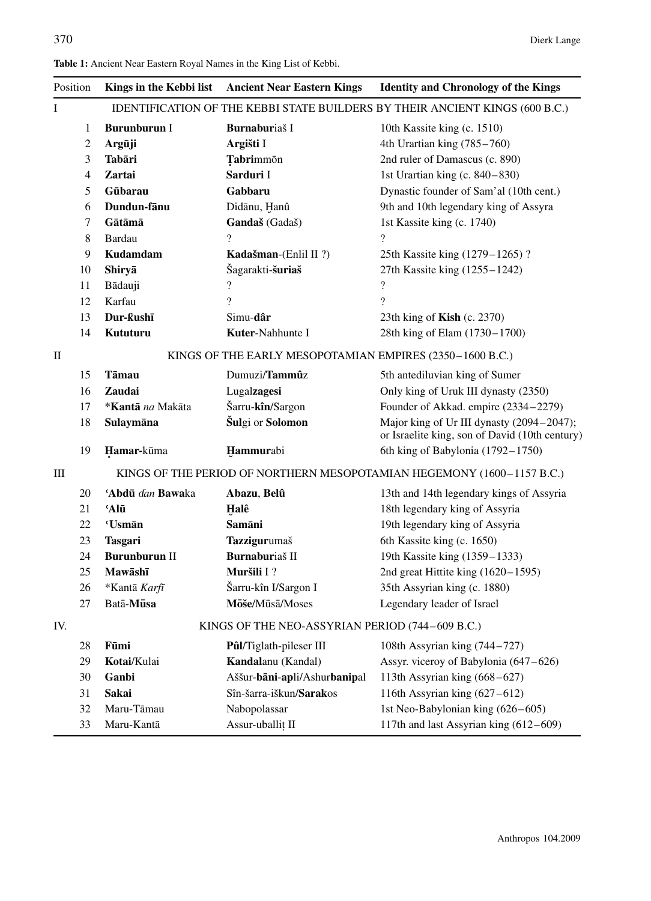| Position     |                                                 | Kings in the Kebbi list                                                      | <b>Ancient Near Eastern Kings</b> | <b>Identity and Chronology of the Kings</b>                                                                                                                                                                            |  |  |  |  |  |  |
|--------------|-------------------------------------------------|------------------------------------------------------------------------------|-----------------------------------|------------------------------------------------------------------------------------------------------------------------------------------------------------------------------------------------------------------------|--|--|--|--|--|--|
| $\mathbf I$  |                                                 | IDENTIFICATION OF THE KEBBI STATE BUILDERS BY THEIR ANCIENT KINGS (600 B.C.) |                                   |                                                                                                                                                                                                                        |  |  |  |  |  |  |
| 1<br>2<br>3  |                                                 | <b>Burunburun I</b>                                                          | Burnaburiaš I                     | 10th Kassite king (c. 1510)                                                                                                                                                                                            |  |  |  |  |  |  |
|              |                                                 | Argūji                                                                       | Argišti I                         | 4th Urartian king (785-760)<br>2nd ruler of Damascus (c. 890)<br>1st Urartian king (c. 840-830)<br>Dynastic founder of Sam'al (10th cent.)<br>9th and 10th legendary king of Assyra<br>1st Kassite king (c. 1740)<br>? |  |  |  |  |  |  |
|              |                                                 | Tabāri                                                                       | Tabrimmon                         |                                                                                                                                                                                                                        |  |  |  |  |  |  |
|              | 4<br>Zartai<br>5<br>Gūbarau<br>6<br>Dundun-fānu |                                                                              | Sarduri I                         |                                                                                                                                                                                                                        |  |  |  |  |  |  |
|              |                                                 |                                                                              | Gabbaru                           |                                                                                                                                                                                                                        |  |  |  |  |  |  |
|              |                                                 |                                                                              | Didānu, Hanû                      |                                                                                                                                                                                                                        |  |  |  |  |  |  |
| 7<br>8       |                                                 | Gātāmā                                                                       | Gandaš (Gadaš)                    |                                                                                                                                                                                                                        |  |  |  |  |  |  |
|              |                                                 | <b>Bardau</b>                                                                | $\overline{\mathcal{L}}$          |                                                                                                                                                                                                                        |  |  |  |  |  |  |
|              | 9                                               | <b>Kudamdam</b>                                                              | Kadašman-(Enlil II?)              | 25th Kassite king (1279–1265)?<br>27th Kassite king (1255–1242)<br>$\overline{\cdot}$                                                                                                                                  |  |  |  |  |  |  |
|              | 10                                              | Shiryā                                                                       | Šagarakti-šuriaš                  |                                                                                                                                                                                                                        |  |  |  |  |  |  |
|              | 11                                              | Bādauji                                                                      | ?                                 |                                                                                                                                                                                                                        |  |  |  |  |  |  |
|              | 12                                              | Karfau                                                                       | $\overline{\mathcal{L}}$          | $\gamma$                                                                                                                                                                                                               |  |  |  |  |  |  |
|              | 13                                              | Dur-ƙushī                                                                    | Simu-dâr                          | 23th king of <b>Kish</b> (c. 2370)                                                                                                                                                                                     |  |  |  |  |  |  |
|              | 14                                              | Kututuru                                                                     | Kuter-Nahhunte I                  | 28th king of Elam (1730-1700)                                                                                                                                                                                          |  |  |  |  |  |  |
| $\mathbf{I}$ |                                                 | KINGS OF THE EARLY MESOPOTAMIAN EMPIRES (2350-1600 B.C.)                     |                                   |                                                                                                                                                                                                                        |  |  |  |  |  |  |
|              | 15                                              | Tāmau                                                                        | Dumuzi/Tammûz                     | 5th antediluvian king of Sumer                                                                                                                                                                                         |  |  |  |  |  |  |
|              | 16                                              | <b>Zaudai</b>                                                                | Lugalzagesi                       | Only king of Uruk III dynasty (2350)                                                                                                                                                                                   |  |  |  |  |  |  |
|              | 17                                              | *Kantā na Makāta                                                             | Šarru-kîn/Sargon                  | Founder of Akkad. empire (2334-2279)                                                                                                                                                                                   |  |  |  |  |  |  |
|              | 18                                              | Sulaymāna                                                                    | Šulgi or Solomon                  | Major king of Ur III dynasty (2094-2047);<br>or Israelite king, son of David (10th century)                                                                                                                            |  |  |  |  |  |  |
| 19           |                                                 | Hamar-kūma                                                                   | Hammurabi                         | 6th king of Babylonia (1792-1750)                                                                                                                                                                                      |  |  |  |  |  |  |
| Ш            |                                                 | KINGS OF THE PERIOD OF NORTHERN MESOPOTAMIAN HEGEMONY (1600-1157 B.C.)       |                                   |                                                                                                                                                                                                                        |  |  |  |  |  |  |
|              | 20                                              | 'Abdū dan Bawaka                                                             | Abazu, Belû                       | 13th and 14th legendary kings of Assyria                                                                                                                                                                               |  |  |  |  |  |  |
|              | 21                                              | 'Alū                                                                         | Halê                              | 18th legendary king of Assyria                                                                                                                                                                                         |  |  |  |  |  |  |
|              | 22                                              | 'Usmān                                                                       | Samāni                            | 19th legendary king of Assyria                                                                                                                                                                                         |  |  |  |  |  |  |
|              | 23                                              | <b>Tasgari</b>                                                               | Tazzigurumaš                      | 6th Kassite king (c. 1650)                                                                                                                                                                                             |  |  |  |  |  |  |
|              | 24                                              | <b>Burunburun II</b>                                                         | Burnaburiaš II                    | 19th Kassite king (1359-1333)                                                                                                                                                                                          |  |  |  |  |  |  |
|              | 25                                              | Mawāshī                                                                      | Muršili I?                        | 2nd great Hittite king $(1620 - 1595)$                                                                                                                                                                                 |  |  |  |  |  |  |
|              | 26                                              | *Kantā Karfī                                                                 | Šarru-kîn I/Sargon I              | 35th Assyrian king (c. 1880)                                                                                                                                                                                           |  |  |  |  |  |  |
|              | 27                                              | Batā-Mūsa                                                                    | Mōše/Mūsā/Moses                   | Legendary leader of Israel                                                                                                                                                                                             |  |  |  |  |  |  |
| IV.          |                                                 | KINGS OF THE NEO-ASSYRIAN PERIOD (744-609 B.C.)                              |                                   |                                                                                                                                                                                                                        |  |  |  |  |  |  |
|              | 28                                              | Fūmi                                                                         | Pûl/Tiglath-pileser III           | 108th Assyrian king (744-727)                                                                                                                                                                                          |  |  |  |  |  |  |
|              | 29                                              | Kotai/Kulai                                                                  | Kandalanu (Kandal)                | Assyr. viceroy of Babylonia (647–626)                                                                                                                                                                                  |  |  |  |  |  |  |
|              | 30                                              | Ganbi                                                                        | Aššur-bāni-apli/Ashurbanipal      | 113th Assyrian king (668-627)                                                                                                                                                                                          |  |  |  |  |  |  |
|              | 31                                              | Sakai                                                                        | Sîn-šarra-iškun/Sarakos           | 116th Assyrian king $(627-612)$                                                                                                                                                                                        |  |  |  |  |  |  |
|              | 32                                              | Maru-Tāmau                                                                   | Nabopolassar                      | 1st Neo-Babylonian king (626-605)                                                                                                                                                                                      |  |  |  |  |  |  |
|              | 33                                              | Maru-Kantā                                                                   | Assur-uballit II                  | 117th and last Assyrian king (612-609)                                                                                                                                                                                 |  |  |  |  |  |  |

### **Table 1:** Ancient Near Eastern Royal Names in the King List of Kebbi.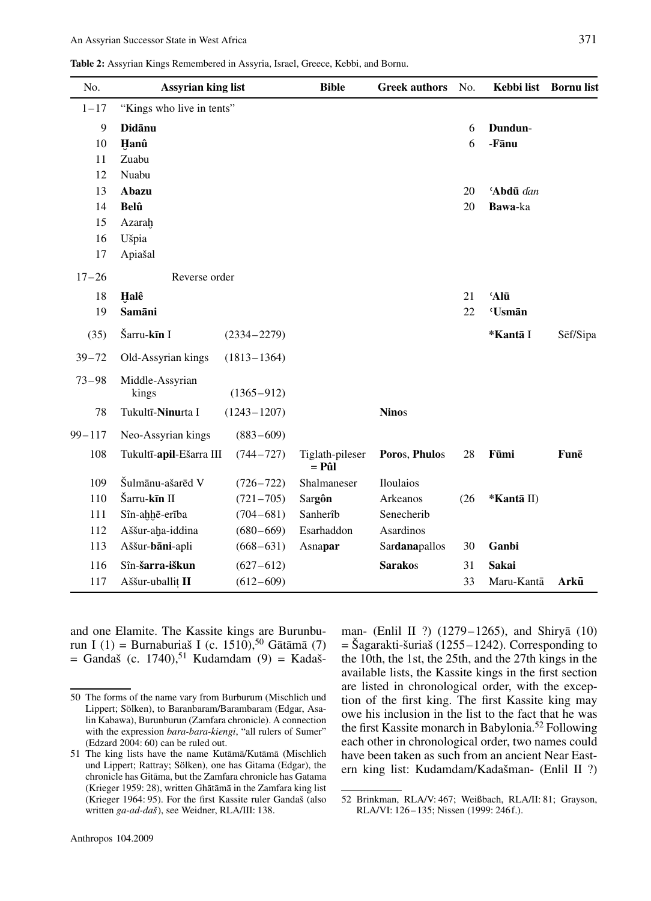**Table 2:** Assyrian Kings Remembered in Assyria, Israel, Greece, Kebbi, and Bornu.

| No.        | <b>Assyrian king list</b> |                 | <b>Bible</b>             | <b>Greek authors</b> | No.  | Kebbi list Bornu list |          |
|------------|---------------------------|-----------------|--------------------------|----------------------|------|-----------------------|----------|
| $1 - 17$   | "Kings who live in tents" |                 |                          |                      |      |                       |          |
| 9          | <b>Didānu</b>             |                 |                          |                      | 6    | Dundun-               |          |
| 10         | Hanû                      |                 |                          |                      | 6    | -Fānu                 |          |
| 11         | Zuabu                     |                 |                          |                      |      |                       |          |
| 12         | Nuabu                     |                 |                          |                      |      |                       |          |
| 13         | Abazu                     |                 |                          |                      | 20   | 'Abdū dan             |          |
| 14         | <b>Belû</b>               |                 |                          |                      | 20   | Bawa-ka               |          |
| 15         | Azarah                    |                 |                          |                      |      |                       |          |
| 16         | Ušpia                     |                 |                          |                      |      |                       |          |
| 17         | Apiašal                   |                 |                          |                      |      |                       |          |
| $17 - 26$  | Reverse order             |                 |                          |                      |      |                       |          |
| 18         | Halê                      |                 |                          |                      | 21   | 'Alū                  |          |
| 19         | Samāni                    |                 |                          |                      | 22   | 'Usmān                |          |
| (35)       | Šarru-kīn I               | $(2334 - 2279)$ |                          |                      |      | *Kantā I              | Sēf/Sipa |
| $39 - 72$  | Old-Assyrian kings        | $(1813 - 1364)$ |                          |                      |      |                       |          |
| $73 - 98$  | Middle-Assyrian<br>kings  | $(1365 - 912)$  |                          |                      |      |                       |          |
| 78         | Tukultī-Ninurta I         | $(1243 - 1207)$ |                          | <b>Ninos</b>         |      |                       |          |
| $99 - 117$ | Neo-Assyrian kings        | $(883 - 609)$   |                          |                      |      |                       |          |
| 108        | Tukultī-apil-Ešarra III   | $(744 - 727)$   | Tiglath-pileser<br>= Pûl | Poros, Phulos        | 28   | Fūmi                  | Funē     |
| 109        | Šulmānu-ašarēd V          | $(726 - 722)$   | Shalmaneser              | Iloulaios            |      |                       |          |
| 110        | Šarru-kīn II              | $(721 - 705)$   | Sargôn                   | Arkeanos             | (26) | *Kantā II)            |          |
| 111        | Sîn-ahhē-erība            | $(704 - 681)$   | Sanherîb                 | Senecherib           |      |                       |          |
| 112        | Aššur-aha-iddina          | $(680 - 669)$   | Esarhaddon               | Asardinos            |      |                       |          |
| 113        | Aššur-bāni-apli           | $(668 - 631)$   | Asnapar                  | Sardanapallos        | 30   | Ganbi                 |          |
| 116        | Sîn-šarra-iškun           | $(627 - 612)$   |                          | <b>Sarakos</b>       | 31   | <b>Sakai</b>          |          |
| 117        | Aššur-uballit II          | $(612 - 609)$   |                          |                      | 33   | Maru-Kantā            | Arkū     |
|            |                           |                 |                          |                      |      |                       |          |

and one Elamite. The Kassite kings are Burunburun I (1) = Burnaburiaš I (c. 1510),<sup>50</sup> Gātāmā (7)  $=$  Gandaš (c. 1740),<sup>51</sup> Kudamdam (9)  $=$  Kadaš-

man- (Enlil II ?) (1279–1265), and Shirya  $(10)$  $=$  Šagarakti-šuriaš (1255–1242). Corresponding to the 10th, the 1st, the 25th, and the 27th kings in the available lists, the Kassite kings in the first section are listed in chronological order, with the exception of the first king. The first Kassite king may owe his inclusion in the list to the fact that he was the first Kassite monarch in Babylonia.52 Following each other in chronological order, two names could have been taken as such from an ancient Near Eastern king list: Kudamdam/Kadašman- (Enlil II ?)

<sup>50</sup> The forms of the name vary from Burburum (Mischlich und Lippert; Sölken), to Baranbaram/Barambaram (Edgar, Asalin Kabawa), Burunburun (Zamfara chronicle). A connection with the expression *bara-bara-kiengi*, "all rulers of Sumer" (Edzard 2004: 60) can be ruled out.

<sup>51</sup> The king lists have the name Kutāmā/Kutāmā (Mischlich und Lippert; Rattray; Sölken), one has Gitama (Edgar), the chronicle has Gitama, but the Zamfara chronicle has Gatama ¯ (Krieger 1959: 28), written Ghātāmā in the Zamfara king list (Krieger 1964: 95). For the first Kassite ruler Gandaš (also written *ga-ad-daš*), see Weidner, RLA/III: 138.

<sup>52</sup> Brinkman, RLA/V: 467; Weißbach, RLA/II: 81; Grayson, RLA/VI: 126–135; Nissen (1999: 246f.).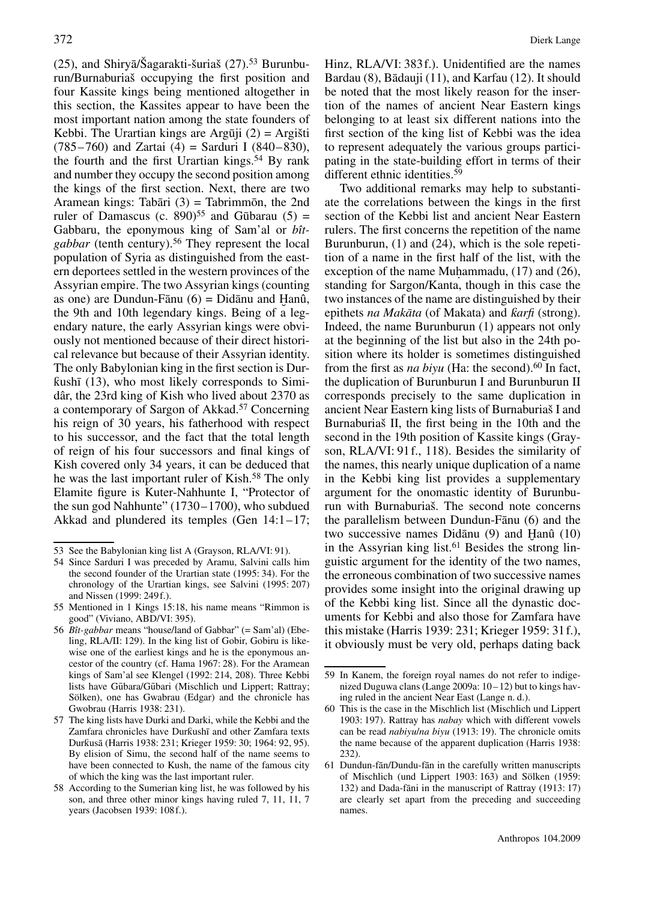(25), and Shiry $\bar{a}/\tilde{S}$ agarakti-šuriaš (27).<sup>53</sup> Burunburun/Burnaburiaš occupying the first position and four Kassite kings being mentioned altogether in this section, the Kassites appear to have been the most important nation among the state founders of Kebbi. The Urartian kings are Argūji  $(2)$  = Argišti  $(785–760)$  and Zartai  $(4)$  = Sarduri I  $(840–830)$ , the fourth and the first Urartian kings.<sup>54</sup> By rank and number they occupy the second position among the kings of the first section. Next, there are two Aramean kings: Tabāri  $(3)$  = Tabrimmon, the 2nd ruler of Damascus (c. 890)<sup>55</sup> and Gūbarau (5) = Gabbaru, the eponymous king of Sam'al or *bîtgabbar* (tenth century).56 They represent the local population of Syria as distinguished from the eastern deportees settled in the western provinces of the Assyrian empire. The two Assyrian kings (counting as one) are Dundun-Fānu  $(6)$  = Didānu and Hanû,<br>the 9th and 10th legendary kings. Being of a legthe 9th and 10th legendary kings. Being of a legendary nature, the early Assyrian kings were obviously not mentioned because of their direct historical relevance but because of their Assyrian identity. The only Babylonian king in the first section is Dur $ƙushī (13)$ , who most likely corresponds to Simidâr, the 23rd king of Kish who lived about 2370 as a contemporary of Sargon of Akkad.57 Concerning his reign of 30 years, his fatherhood with respect to his successor, and the fact that the total length of reign of his four successors and final kings of Kish covered only 34 years, it can be deduced that he was the last important ruler of Kish.<sup>58</sup> The only Elamite figure is Kuter-Nahhunte I, "Protector of the sun god Nahhunte" (1730–1700), who subdued Akkad and plundered its temples (Gen 14:1–17;

Hinz, RLA/VI: 383f.). Unidentified are the names Bardau (8), Bādauji (11), and Karfau (12). It should be noted that the most likely reason for the insertion of the names of ancient Near Eastern kings belonging to at least six different nations into the first section of the king list of Kebbi was the idea to represent adequately the various groups participating in the state-building effort in terms of their different ethnic identities.<sup>59</sup>

Two additional remarks may help to substantiate the correlations between the kings in the first section of the Kebbi list and ancient Near Eastern rulers. The first concerns the repetition of the name Burunburun, (1) and (24), which is the sole repetition of a name in the first half of the list, with the exception of the name Muhammadu,  $(17)$  and  $(26)$ , standing for Sargon/Kanta, though in this case the two instances of the name are distinguished by their epithets *na Makāta* (of Makata) and *karfi* (strong). Indeed, the name Burunburun (1) appears not only at the beginning of the list but also in the 24th position where its holder is sometimes distinguished from the first as *na biyu* (Ha: the second).<sup>60</sup> In fact, the duplication of Burunburun I and Burunburun II corresponds precisely to the same duplication in ancient Near Eastern king lists of Burnaburiaš I and Burnaburiaš II, the first being in the 10th and the second in the 19th position of Kassite kings (Grayson, RLA/VI: 91f., 118). Besides the similarity of the names, this nearly unique duplication of a name in the Kebbi king list provides a supplementary argument for the onomastic identity of Burunburun with Burnaburiaš. The second note concerns the parallelism between Dundun-Fānu  $(6)$  and the two successive names Didānu  $(9)$  and Hanû  $(10)$ <br>in the Assyrian king list <sup>61</sup> Besides the strong linin the Assyrian king list.<sup>61</sup> Besides the strong linguistic argument for the identity of the two names, the erroneous combination of two successive names provides some insight into the original drawing up of the Kebbi king list. Since all the dynastic documents for Kebbi and also those for Zamfara have this mistake (Harris 1939: 231; Krieger 1959: 31f.), it obviously must be very old, perhaps dating back

<sup>53</sup> See the Babylonian king list A (Grayson, RLA/VI: 91).

<sup>54</sup> Since Sarduri I was preceded by Aramu, Salvini calls him the second founder of the Urartian state (1995: 34). For the chronology of the Urartian kings, see Salvini (1995: 207) and Nissen (1999: 249f.).

<sup>55</sup> Mentioned in 1 Kings 15:18, his name means "Rimmon is good" (Viviano, ABD/VI: 395).

<sup>56</sup> *Bît-gabbar* means "house/land of Gabbar" (= Sam'al) (Ebeling, RLA/II: 129). In the king list of Gobir, Gobiru is likewise one of the earliest kings and he is the eponymous ancestor of the country (cf. Hama 1967: 28). For the Aramean kings of Sam'al see Klengel (1992: 214, 208). Three Kebbi lists have Gūbara/Gūbari (Mischlich und Lippert; Rattray; Sölken), one has Gwabrau (Edgar) and the chronicle has Gwobrau (Harris 1938: 231).

<sup>57</sup> The king lists have Durki and Darki, while the Kebbi and the Zamfara chronicles have Durkushī and other Zamfara texts Durkusā (Harris 1938: 231; Krieger 1959: 30; 1964: 92, 95). By elision of Simu, the second half of the name seems to have been connected to Kush, the name of the famous city of which the king was the last important ruler.

<sup>58</sup> According to the Sumerian king list, he was followed by his son, and three other minor kings having ruled 7, 11, 11, 7 years (Jacobsen 1939: 108f.).

<sup>59</sup> In Kanem, the foreign royal names do not refer to indigenized Duguwa clans (Lange 2009a: 10–12) but to kings having ruled in the ancient Near East (Lange n. d.).

<sup>60</sup> This is the case in the Mischlich list (Mischlich und Lippert 1903: 197). Rattray has *nabay* which with different vowels can be read *nabiyu*/*na biyu* (1913: 19). The chronicle omits the name because of the apparent duplication (Harris 1938: 232).

<sup>61</sup> Dundun-fān/Dundu-fān in the carefully written manuscripts of Mischlich (und Lippert 1903: 163) and Sölken (1959: 132) and Dada-fāni in the manuscript of Rattray (1913: 17) are clearly set apart from the preceding and succeeding names.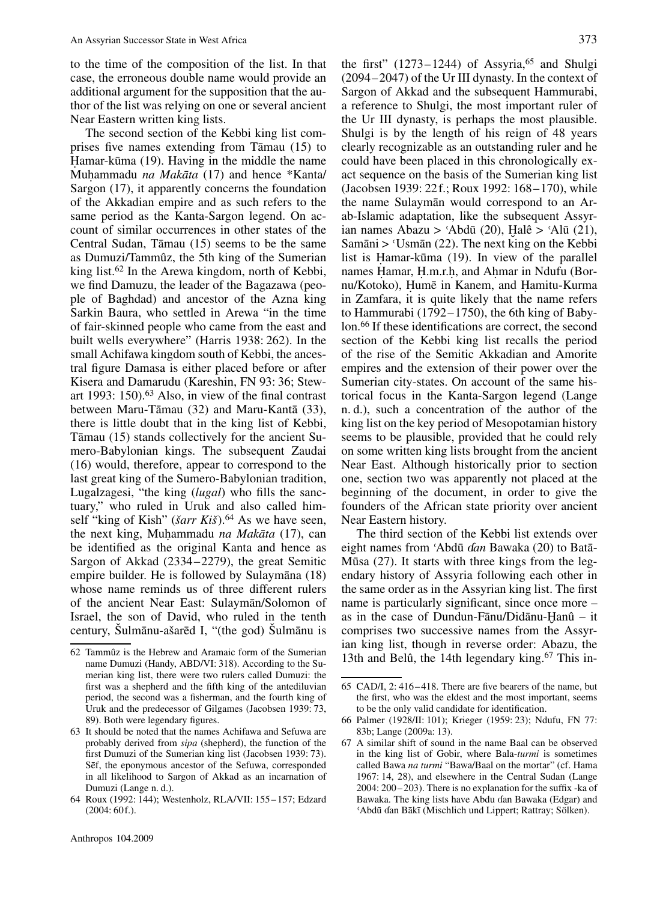to the time of the composition of the list. In that case, the erroneous double name would provide an additional argument for the supposition that the author of the list was relying on one or several ancient Near Eastern written king lists.

The second section of the Kebbi king list comprises five names extending from T $\bar{a}$ mau (15) to Hamar-kūma (19). Having in the middle the name Muhammadu *na Makāta* (17) and hence \*Kanta/ Sargon (17), it apparently concerns the foundation of the Akkadian empire and as such refers to the same period as the Kanta-Sargon legend. On account of similar occurrences in other states of the Central Sudan, T $\bar{a}$ mau (15) seems to be the same as Dumuzi/Tammûz, the 5th king of the Sumerian king list.62 In the Arewa kingdom, north of Kebbi, we find Damuzu, the leader of the Bagazawa (people of Baghdad) and ancestor of the Azna king Sarkin Baura, who settled in Arewa "in the time of fair-skinned people who came from the east and built wells everywhere" (Harris 1938: 262). In the small Achifawa kingdom south of Kebbi, the ancestral figure Damasa is either placed before or after Kisera and Damarudu (Kareshin, FN 93: 36; Stewart 1993: 150).63 Also, in view of the final contrast between Maru-Tāmau  $(32)$  and Maru-Kantā  $(33)$ , there is little doubt that in the king list of Kebbi, Tamau (15) stands collectively for the ancient Su- ¯ mero-Babylonian kings. The subsequent Zaudai (16) would, therefore, appear to correspond to the last great king of the Sumero-Babylonian tradition, Lugalzagesi, "the king (*lugal*) who fills the sanctuary," who ruled in Uruk and also called himself "king of Kish" (*šarr Kiš*).<sup>64</sup> As we have seen, the next king, Muhammadu *na Makāta* (17), can be identified as the original Kanta and hence as Sargon of Akkad (2334–2279), the great Semitic empire builder. He is followed by Sulaymana (18) whose name reminds us of three different rulers of the ancient Near East: Sulayman/Solomon of Israel, the son of David, who ruled in the tenth century, Šulmānu-ašarēd I, "(the god) Šulmānu is

the first"  $(1273-1244)$  of Assyria,<sup>65</sup> and Shulgi (2094–2047) of the Ur III dynasty. In the context of Sargon of Akkad and the subsequent Hammurabi, a reference to Shulgi, the most important ruler of the Ur III dynasty, is perhaps the most plausible. Shulgi is by the length of his reign of 48 years clearly recognizable as an outstanding ruler and he could have been placed in this chronologically exact sequence on the basis of the Sumerian king list (Jacobsen 1939: 22f.; Roux 1992: 168–170), while the name Sulayman would correspond to an Arab-Islamic adaptation, like the subsequent Assyrian names Abazu > 'Abdū (20), Halê > 'Alū (21),<br>Samāni > 'Usmān (22) The next king on the Kebbi Samāni >  $\text{Usmān}$  (22). The next king on the Kebbi list is Hamar-kūma  $(19)$ . In view of the parallel names Hamar, H.m.r.h., and Ahmar in Ndufu (Bornu/Kotoko), Humē in Kanem, and Hamitu-Kurma in Zamfara, it is quite likely that the name refers to Hammurabi (1792–1750), the 6th king of Babylon.66 If these identifications are correct, the second section of the Kebbi king list recalls the period of the rise of the Semitic Akkadian and Amorite empires and the extension of their power over the Sumerian city-states. On account of the same historical focus in the Kanta-Sargon legend (Lange n. d.), such a concentration of the author of the king list on the key period of Mesopotamian history seems to be plausible, provided that he could rely on some written king lists brought from the ancient Near East. Although historically prior to section one, section two was apparently not placed at the beginning of the document, in order to give the founders of the African state priority over ancient Near Eastern history.

The third section of the Kebbi list extends over eight names from 'Abdū *dan* Bawaka (20) to Batā-Mūsa  $(27)$ . It starts with three kings from the legendary history of Assyria following each other in the same order as in the Assyrian king list. The first name is particularly significant, since once more – as in the case of Dundun-Fānu/Didānu-Ḥanû  $-$  it comprises two successive names from the Assyrcomprises two successive names from the Assyrian king list, though in reverse order: Abazu, the 13th and Belû, the 14th legendary king.<sup>67</sup> This in-

- 66 Palmer (1928/II: 101); Krieger (1959: 23); Ndufu, FN 77: 83b; Lange (2009a: 13).
- 67 A similar shift of sound in the name Baal can be observed in the king list of Gobir, where Bala-*turmi* is sometimes called Bawa *na turmi* "Bawa/Baal on the mortar" (cf. Hama 1967: 14, 28), and elsewhere in the Central Sudan (Lange 2004: 200–203). There is no explanation for the suffix -ka of Bawaka. The king lists have Abdu ɗan Bawaka (Edgar) and<br>ʿAbdū ɗan Bākī (Mischlich und Lippert; Rattray; Sölken).

<sup>62</sup> Tammûz is the Hebrew and Aramaic form of the Sumerian name Dumuzi (Handy, ABD/VI: 318). According to the Sumerian king list, there were two rulers called Dumuzi: the first was a shepherd and the fifth king of the antediluvian period, the second was a fisherman, and the fourth king of Uruk and the predecessor of Gilgames (Jacobsen 1939: 73, 89). Both were legendary figures.

<sup>63</sup> It should be noted that the names Achifawa and Sefuwa are probably derived from *sipa* (shepherd), the function of the first Dumuzi of the Sumerian king list (Jacobsen 1939: 73). Sef, the eponymous ancestor of the Sefuwa, corresponded in all likelihood to Sargon of Akkad as an incarnation of Dumuzi (Lange n. d.).

<sup>64</sup> Roux (1992: 144); Westenholz, RLA/VII: 155–157; Edzard (2004: 60f.).

<sup>65</sup> CAD/I, 2: 416–418. There are five bearers of the name, but the first, who was the eldest and the most important, seems to be the only valid candidate for identification.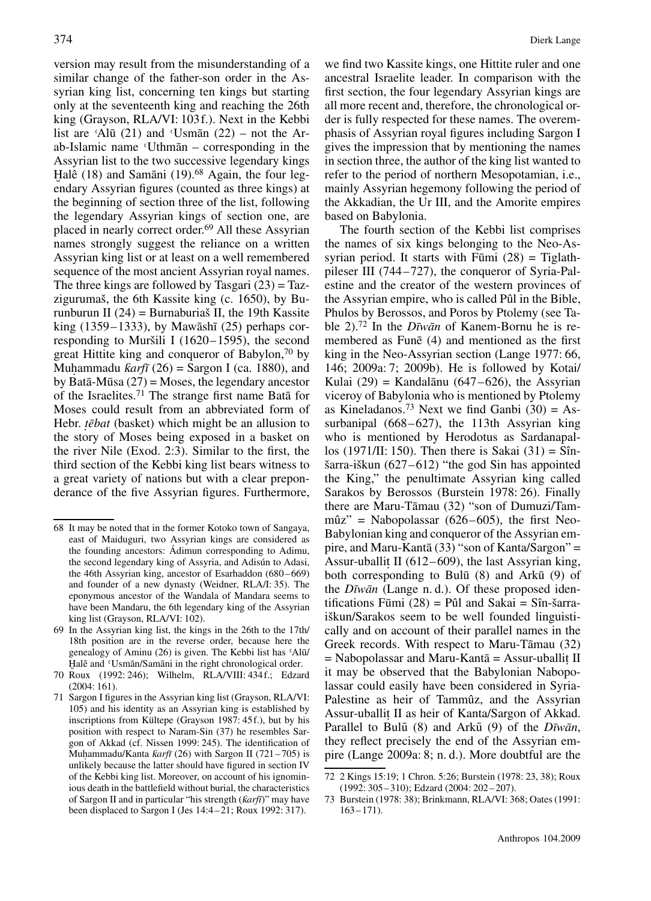version may result from the misunderstanding of a similar change of the father-son order in the Assyrian king list, concerning ten kings but starting only at the seventeenth king and reaching the 26th king (Grayson, RLA/VI: 103f.). Next in the Kebbi list are 'Alū  $(21)$  and 'Usman  $(22)$  – not the Ar $ab$ -Islamic name 'Uthman – corresponding in the Assyrian list to the two successive legendary kings Halê (18) and Samāni (19).<sup>68</sup> Again, the four legendary Assyrian figures (counted as three kings) at the beginning of section three of the list, following the legendary Assyrian kings of section one, are placed in nearly correct order.69 All these Assyrian names strongly suggest the reliance on a written Assyrian king list or at least on a well remembered sequence of the most ancient Assyrian royal names. The three kings are followed by Tasgari  $(23)$  = Tazzigurumaš, the 6th Kassite king (c. 1650), by Burunburun II (24) = Burnaburiaš II, the 19th Kassite king  $(1359-1333)$ , by Mawash  $(25)$  perhaps corresponding to Muršili I (1620–1595), the second great Hittite king and conqueror of Babylon,  $\frac{70}{9}$  by Muhammadu  $\kappa a r f\bar{\iota}$  (26) = Sargon I (ca. 1880), and by Bata-Mūsa  $(27)$  = Moses, the legendary ancestor of the Israelites.<sup>71</sup> The strange first name Bata for Moses could result from an abbreviated form of Hebr. *tēbat* (basket) which might be an allusion to the story of Moses being exposed in a basket on the river Nile (Exod. 2:3). Similar to the first, the third section of the Kebbi king list bears witness to a great variety of nations but with a clear preponderance of the five Assyrian figures. Furthermore,

we find two Kassite kings, one Hittite ruler and one ancestral Israelite leader. In comparison with the first section, the four legendary Assyrian kings are all more recent and, therefore, the chronological order is fully respected for these names. The overemphasis of Assyrian royal figures including Sargon I gives the impression that by mentioning the names in section three, the author of the king list wanted to refer to the period of northern Mesopotamian, i.e., mainly Assyrian hegemony following the period of the Akkadian, the Ur III, and the Amorite empires based on Babylonia.

The fourth section of the Kebbi list comprises the names of six kings belonging to the Neo-Assyrian period. It starts with Fumi  $(28)$  = Tiglathpileser III (744–727), the conqueror of Syria-Palestine and the creator of the western provinces of the Assyrian empire, who is called Pûl in the Bible, Phulos by Berossos, and Poros by Ptolemy (see Table 2).<sup>72</sup> In the *Dīwān* of Kanem-Bornu he is remembered as Fune  $(4)$  and mentioned as the first king in the Neo-Assyrian section (Lange 1977: 66, 146; 2009a: 7; 2009b). He is followed by Kotai/ Kulai (29) = Kandalānu (647–626), the Assyrian viceroy of Babylonia who is mentioned by Ptolemy as Kineladanos.<sup>73</sup> Next we find Ganbi  $(30) = As$ surbanipal (668–627), the 113th Assyrian king who is mentioned by Herodotus as Sardanapallos (1971/II: 150). Then there is Sakai (31) = Sînšarra-iškun (627–612) "the god Sin has appointed the King," the penultimate Assyrian king called Sarakos by Berossos (Burstein 1978: 26). Finally there are Maru-Tāmau (32) "son of Dumuzi/Tammûz" = Nabopolassar  $(626-605)$ , the first Neo-Babylonian king and conqueror of the Assyrian empire, and Maru-Kantā  $(33)$  "son of Kanta/Sargon" = Assur-uballit II (612–609), the last Assyrian king, both corresponding to Bulū  $(8)$  and Arkū  $(9)$  of the *Dīwān* (Lange n. d.). Of these proposed identifications Fumi  $(28)$  = Pûl and Sakai = Sîn-šarraiškun/Sarakos seem to be well founded linguistically and on account of their parallel names in the Greek records. With respect to Maru-Tāmau (32)  $=$  Nabopolassar and Maru-Kantā  $=$  Assur-uballit II it may be observed that the Babylonian Nabopolassar could easily have been considered in Syria-Palestine as heir of Tammûz, and the Assyrian Assur-uballit. II as heir of Kanta/Sargon of Akkad. Parallel to Bulū (8) and Arkū (9) of the *Dīwān*, they reflect precisely the end of the Assyrian empire (Lange 2009a: 8; n. d.). More doubtful are the

<sup>68</sup> It may be noted that in the former Kotoko town of Sangaya, east of Maiduguri, two Assyrian kings are considered as the founding ancestors: Ádimun corresponding to Adimu, the second legendary king of Assyria, and Adisún to Adasi, the 46th Assyrian king, ancestor of Esarhaddon (680–669) and founder of a new dynasty (Weidner, RLA/I: 35). The eponymous ancestor of the Wandala of Mandara seems to have been Mandaru, the 6th legendary king of the Assyrian king list (Grayson, RLA/VI: 102).

<sup>69</sup> In the Assyrian king list, the kings in the 26th to the 17th/ 18th position are in the reverse order, because here the genealogy of Aminu (26) is given. The Kebbi list has 'Alū/ Halê and 'Usmān/Samāni in the right chronological order.

<sup>˘</sup> 70 Roux (1992: 246); Wilhelm, RLA/VIII: 434f.; Edzard (2004: 161).

<sup>71</sup> Sargon I figures in the Assyrian king list (Grayson, RLA/VI: 105) and his identity as an Assyrian king is established by inscriptions from Kültepe (Grayson 1987: 45f.), but by his position with respect to Naram-Sin (37) he resembles Sargon of Akkad (cf. Nissen 1999: 245). The identification of Muhammadu/Kanta *ƙarfī* (26) with Sargon II (721–705) is unlikely because the latter should have figured in section IV of the Kebbi king list. Moreover, on account of his ignominious death in the battlefield without burial, the characteristics of Sargon II and in particular "his strength ( $karfi$ )" may have been displaced to Sargon I (Jes 14:4–21; Roux 1992: 317).

<sup>72 2</sup> Kings 15:19; 1 Chron. 5:26; Burstein (1978: 23, 38); Roux (1992: 305–310); Edzard (2004: 202–207).

<sup>73</sup> Burstein (1978: 38); Brinkmann, RLA/VI: 368; Oates (1991: 163–171).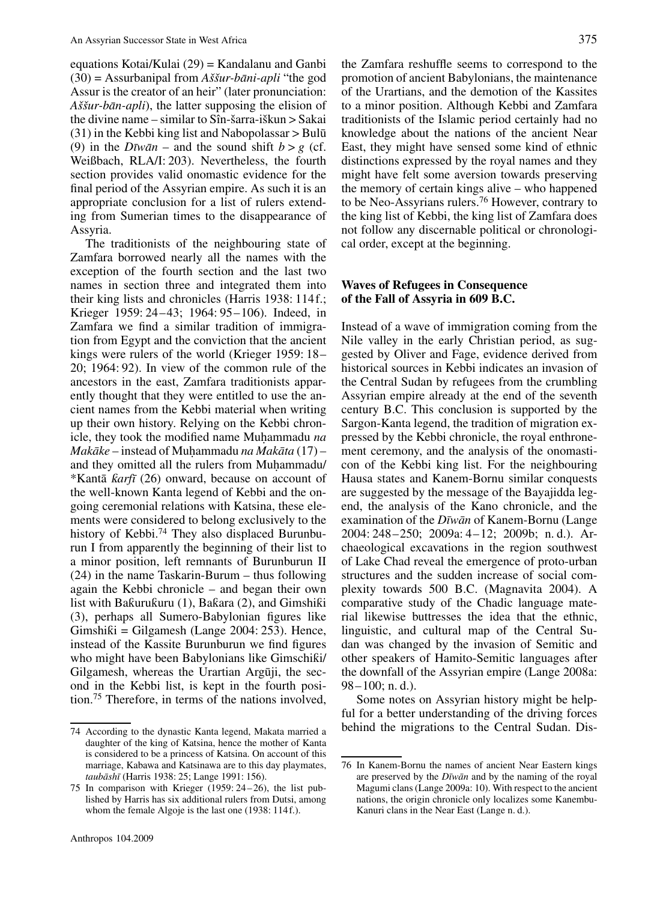equations Kotai/Kulai (29) = Kandalanu and Ganbi  $(30)$  = Assurbanipal from *Aššur-bāni-apli* "the god Assur is the creator of an heir" (later pronunciation: *Aššur-bān-apli*), the latter supposing the elision of the divine name – similar to Sîn-šarra-iškun > Sakai  $(31)$  in the Kebbi king list and Nabopolassar > Bulū (9) in the  $D\bar{w}$  *and* the sound shift  $b > g$  (cf. Weißbach, RLA/I: 203). Nevertheless, the fourth section provides valid onomastic evidence for the final period of the Assyrian empire. As such it is an appropriate conclusion for a list of rulers extending from Sumerian times to the disappearance of Assyria.

The traditionists of the neighbouring state of Zamfara borrowed nearly all the names with the exception of the fourth section and the last two names in section three and integrated them into their king lists and chronicles (Harris 1938: 114f.; Krieger 1959: 24–43; 1964: 95–106). Indeed, in Zamfara we find a similar tradition of immigration from Egypt and the conviction that the ancient kings were rulers of the world (Krieger 1959: 18– 20; 1964: 92). In view of the common rule of the ancestors in the east, Zamfara traditionists apparently thought that they were entitled to use the ancient names from the Kebbi material when writing up their own history. Relying on the Kebbi chronicle, they took the modified name Muhammadu *na Makāke* – instead of Muhammadu *na Makāta* (17) – and they omitted all the rulers from Muhammadu/ \*Kanta¯ Î*arf¯ı* (26) onward, because on account of the well-known Kanta legend of Kebbi and the ongoing ceremonial relations with Katsina, these elements were considered to belong exclusively to the history of Kebbi.<sup>74</sup> They also displaced Burunburun I from apparently the beginning of their list to a minor position, left remnants of Burunburun II (24) in the name Taskarin-Burum – thus following again the Kebbi chronicle – and began their own list with Ba $\kappa$ uru $\kappa$ uru (1), Ba $\kappa$ ara (2), and Gimshi $\kappa$ i (3), perhaps all Sumero-Babylonian figures like  $Gimshiki = Gilgamesh (Lange 2004: 253)$ . Hence, instead of the Kassite Burunburun we find figures who might have been Babylonians like Gimschiki/ Gilgamesh, whereas the Urartian Arguji, the second in the Kebbi list, is kept in the fourth position.75 Therefore, in terms of the nations involved, the Zamfara reshuffle seems to correspond to the promotion of ancient Babylonians, the maintenance of the Urartians, and the demotion of the Kassites to a minor position. Although Kebbi and Zamfara traditionists of the Islamic period certainly had no knowledge about the nations of the ancient Near East, they might have sensed some kind of ethnic distinctions expressed by the royal names and they might have felt some aversion towards preserving the memory of certain kings alive – who happened to be Neo-Assyrians rulers.76 However, contrary to the king list of Kebbi, the king list of Zamfara does not follow any discernable political or chronological order, except at the beginning.

#### **Waves of Refugees in Consequence of the Fall of Assyria in 609 B.C.**

Instead of a wave of immigration coming from the Nile valley in the early Christian period, as suggested by Oliver and Fage, evidence derived from historical sources in Kebbi indicates an invasion of the Central Sudan by refugees from the crumbling Assyrian empire already at the end of the seventh century B.C. This conclusion is supported by the Sargon-Kanta legend, the tradition of migration expressed by the Kebbi chronicle, the royal enthronement ceremony, and the analysis of the onomasticon of the Kebbi king list. For the neighbouring Hausa states and Kanem-Bornu similar conquests are suggested by the message of the Bayajidda legend, the analysis of the Kano chronicle, and the examination of the *Dīwān* of Kanem-Bornu (Lange 2004: 248–250; 2009a: 4–12; 2009b; n. d.). Archaeological excavations in the region southwest of Lake Chad reveal the emergence of proto-urban structures and the sudden increase of social complexity towards 500 B.C. (Magnavita 2004). A comparative study of the Chadic language material likewise buttresses the idea that the ethnic, linguistic, and cultural map of the Central Sudan was changed by the invasion of Semitic and other speakers of Hamito-Semitic languages after the downfall of the Assyrian empire (Lange 2008a: 98–100; n. d.).

Some notes on Assyrian history might be helpful for a better understanding of the driving forces behind the migrations to the Central Sudan. Dis-

<sup>74</sup> According to the dynastic Kanta legend, Makata married a daughter of the king of Katsina, hence the mother of Kanta is considered to be a princess of Katsina. On account of this marriage, Kabawa and Katsinawa are to this day playmates, *taubāshī* (Harris 1938: 25; Lange 1991: 156).

<sup>75</sup> In comparison with Krieger (1959: 24–26), the list published by Harris has six additional rulers from Dutsi, among whom the female Algoje is the last one (1938: 114f.).

<sup>76</sup> In Kanem-Bornu the names of ancient Near Eastern kings are preserved by the *Dīwan* and by the naming of the royal Magumi clans (Lange 2009a: 10). With respect to the ancient nations, the origin chronicle only localizes some Kanembu-Kanuri clans in the Near East (Lange n. d.).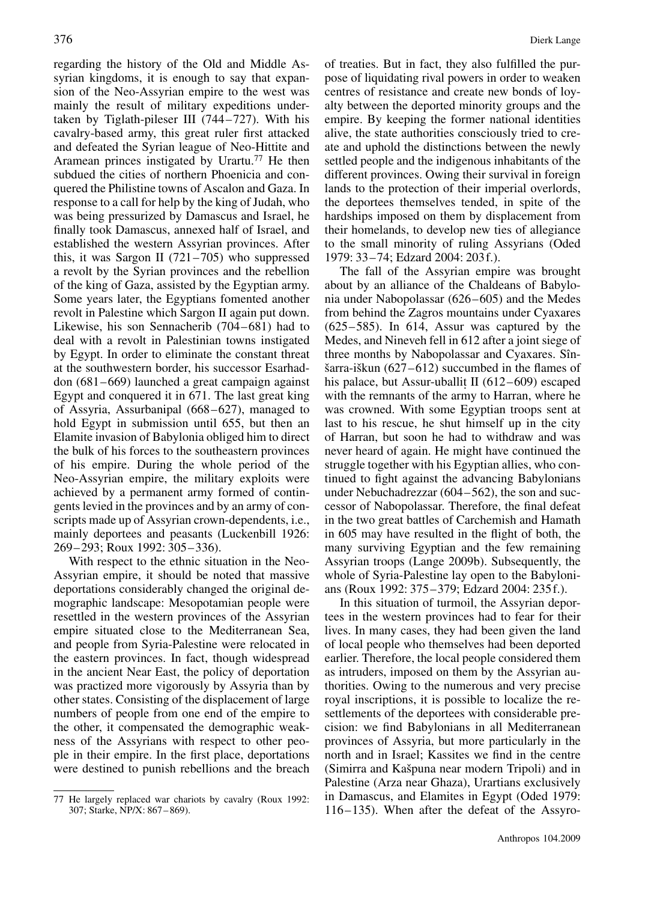regarding the history of the Old and Middle Assyrian kingdoms, it is enough to say that expansion of the Neo-Assyrian empire to the west was mainly the result of military expeditions undertaken by Tiglath-pileser III (744–727). With his cavalry-based army, this great ruler first attacked and defeated the Syrian league of Neo-Hittite and Aramean princes instigated by Urartu.<sup>77</sup> He then subdued the cities of northern Phoenicia and conquered the Philistine towns of Ascalon and Gaza. In response to a call for help by the king of Judah, who was being pressurized by Damascus and Israel, he finally took Damascus, annexed half of Israel, and established the western Assyrian provinces. After this, it was Sargon II (721–705) who suppressed a revolt by the Syrian provinces and the rebellion of the king of Gaza, assisted by the Egyptian army. Some years later, the Egyptians fomented another revolt in Palestine which Sargon II again put down. Likewise, his son Sennacherib (704–681) had to deal with a revolt in Palestinian towns instigated by Egypt. In order to eliminate the constant threat at the southwestern border, his successor Esarhaddon (681–669) launched a great campaign against Egypt and conquered it in 671. The last great king of Assyria, Assurbanipal (668–627), managed to hold Egypt in submission until 655, but then an Elamite invasion of Babylonia obliged him to direct the bulk of his forces to the southeastern provinces of his empire. During the whole period of the Neo-Assyrian empire, the military exploits were achieved by a permanent army formed of contingents levied in the provinces and by an army of conscripts made up of Assyrian crown-dependents, i.e., mainly deportees and peasants (Luckenbill 1926: 269–293; Roux 1992: 305–336).

With respect to the ethnic situation in the Neo-Assyrian empire, it should be noted that massive deportations considerably changed the original demographic landscape: Mesopotamian people were resettled in the western provinces of the Assyrian empire situated close to the Mediterranean Sea, and people from Syria-Palestine were relocated in the eastern provinces. In fact, though widespread in the ancient Near East, the policy of deportation was practized more vigorously by Assyria than by other states. Consisting of the displacement of large numbers of people from one end of the empire to the other, it compensated the demographic weakness of the Assyrians with respect to other people in their empire. In the first place, deportations were destined to punish rebellions and the breach

of treaties. But in fact, they also fulfilled the purpose of liquidating rival powers in order to weaken centres of resistance and create new bonds of loyalty between the deported minority groups and the empire. By keeping the former national identities alive, the state authorities consciously tried to create and uphold the distinctions between the newly settled people and the indigenous inhabitants of the different provinces. Owing their survival in foreign lands to the protection of their imperial overlords, the deportees themselves tended, in spite of the hardships imposed on them by displacement from their homelands, to develop new ties of allegiance to the small minority of ruling Assyrians (Oded 1979: 33–74; Edzard 2004: 203f.).

The fall of the Assyrian empire was brought about by an alliance of the Chaldeans of Babylonia under Nabopolassar (626–605) and the Medes from behind the Zagros mountains under Cyaxares (625–585). In 614, Assur was captured by the Medes, and Nineveh fell in 612 after a joint siege of three months by Nabopolassar and Cyaxares. Sînšarra-iškun (627–612) succumbed in the flames of his palace, but Assur-uballit II  $(612–609)$  escaped with the remnants of the army to Harran, where he was crowned. With some Egyptian troops sent at last to his rescue, he shut himself up in the city of Harran, but soon he had to withdraw and was never heard of again. He might have continued the struggle together with his Egyptian allies, who continued to fight against the advancing Babylonians under Nebuchadrezzar (604–562), the son and successor of Nabopolassar. Therefore, the final defeat in the two great battles of Carchemish and Hamath in 605 may have resulted in the flight of both, the many surviving Egyptian and the few remaining Assyrian troops (Lange 2009b). Subsequently, the whole of Syria-Palestine lay open to the Babylonians (Roux 1992: 375–379; Edzard 2004: 235f.).

In this situation of turmoil, the Assyrian deportees in the western provinces had to fear for their lives. In many cases, they had been given the land of local people who themselves had been deported earlier. Therefore, the local people considered them as intruders, imposed on them by the Assyrian authorities. Owing to the numerous and very precise royal inscriptions, it is possible to localize the resettlements of the deportees with considerable precision: we find Babylonians in all Mediterranean provinces of Assyria, but more particularly in the north and in Israel; Kassites we find in the centre (Simirra and Kašpuna near modern Tripoli) and in Palestine (Arza near Ghaza), Urartians exclusively in Damascus, and Elamites in Egypt (Oded 1979: 116–135). When after the defeat of the Assyro-

<sup>77</sup> He largely replaced war chariots by cavalry (Roux 1992: 307; Starke, NP/X: 867–869).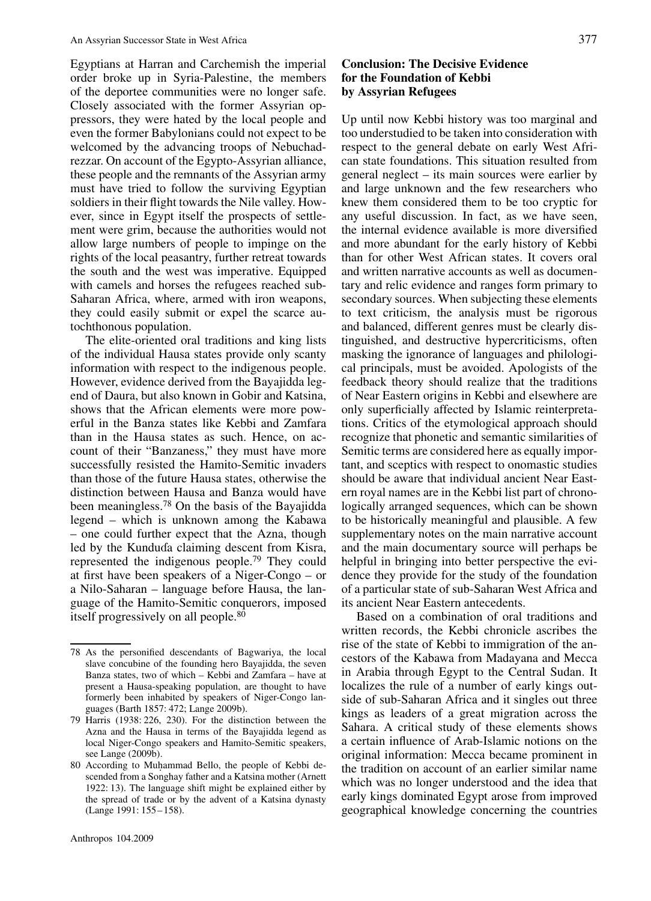Egyptians at Harran and Carchemish the imperial order broke up in Syria-Palestine, the members of the deportee communities were no longer safe. Closely associated with the former Assyrian oppressors, they were hated by the local people and even the former Babylonians could not expect to be welcomed by the advancing troops of Nebuchadrezzar. On account of the Egypto-Assyrian alliance, these people and the remnants of the Assyrian army must have tried to follow the surviving Egyptian soldiers in their flight towards the Nile valley. However, since in Egypt itself the prospects of settlement were grim, because the authorities would not allow large numbers of people to impinge on the rights of the local peasantry, further retreat towards the south and the west was imperative. Equipped with camels and horses the refugees reached sub-Saharan Africa, where, armed with iron weapons, they could easily submit or expel the scarce autochthonous population.

The elite-oriented oral traditions and king lists of the individual Hausa states provide only scanty information with respect to the indigenous people. However, evidence derived from the Bayajidda legend of Daura, but also known in Gobir and Katsina, shows that the African elements were more powerful in the Banza states like Kebbi and Zamfara than in the Hausa states as such. Hence, on account of their "Banzaness," they must have more successfully resisted the Hamito-Semitic invaders than those of the future Hausa states, otherwise the distinction between Hausa and Banza would have been meaningless.78 On the basis of the Bayajidda legend – which is unknown among the Kabawa – one could further expect that the Azna, though led by the Kunduda claiming descent from Kisra, represented the indigenous people.79 They could at first have been speakers of a Niger-Congo – or a Nilo-Saharan – language before Hausa, the language of the Hamito-Semitic conquerors, imposed itself progressively on all people.80

#### **Conclusion: The Decisive Evidence for the Foundation of Kebbi by Assyrian Refugees**

Up until now Kebbi history was too marginal and too understudied to be taken into consideration with respect to the general debate on early West African state foundations. This situation resulted from general neglect – its main sources were earlier by and large unknown and the few researchers who knew them considered them to be too cryptic for any useful discussion. In fact, as we have seen, the internal evidence available is more diversified and more abundant for the early history of Kebbi than for other West African states. It covers oral and written narrative accounts as well as documentary and relic evidence and ranges form primary to secondary sources. When subjecting these elements to text criticism, the analysis must be rigorous and balanced, different genres must be clearly distinguished, and destructive hypercriticisms, often masking the ignorance of languages and philological principals, must be avoided. Apologists of the feedback theory should realize that the traditions of Near Eastern origins in Kebbi and elsewhere are only superficially affected by Islamic reinterpretations. Critics of the etymological approach should recognize that phonetic and semantic similarities of Semitic terms are considered here as equally important, and sceptics with respect to onomastic studies should be aware that individual ancient Near Eastern royal names are in the Kebbi list part of chronologically arranged sequences, which can be shown to be historically meaningful and plausible. A few supplementary notes on the main narrative account and the main documentary source will perhaps be helpful in bringing into better perspective the evidence they provide for the study of the foundation of a particular state of sub-Saharan West Africa and its ancient Near Eastern antecedents.

Based on a combination of oral traditions and written records, the Kebbi chronicle ascribes the rise of the state of Kebbi to immigration of the ancestors of the Kabawa from Madayana and Mecca in Arabia through Egypt to the Central Sudan. It localizes the rule of a number of early kings outside of sub-Saharan Africa and it singles out three kings as leaders of a great migration across the Sahara. A critical study of these elements shows a certain influence of Arab-Islamic notions on the original information: Mecca became prominent in the tradition on account of an earlier similar name which was no longer understood and the idea that early kings dominated Egypt arose from improved geographical knowledge concerning the countries

<sup>78</sup> As the personified descendants of Bagwariya, the local slave concubine of the founding hero Bayajidda, the seven Banza states, two of which – Kebbi and Zamfara – have at present a Hausa-speaking population, are thought to have formerly been inhabited by speakers of Niger-Congo languages (Barth 1857: 472; Lange 2009b).

<sup>79</sup> Harris (1938: 226, 230). For the distinction between the Azna and the Hausa in terms of the Bayajidda legend as local Niger-Congo speakers and Hamito-Semitic speakers, see Lange (2009b).

<sup>80</sup> According to Muhammad Bello, the people of Kebbi descended from a Songhay father and a Katsina mother (Arnett 1922: 13). The language shift might be explained either by the spread of trade or by the advent of a Katsina dynasty (Lange 1991: 155–158).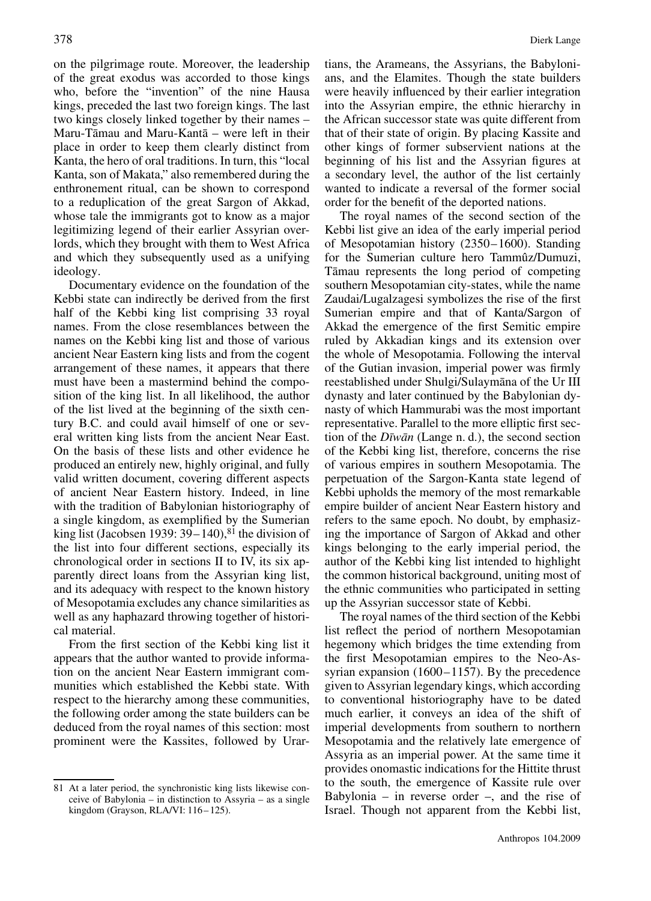on the pilgrimage route. Moreover, the leadership of the great exodus was accorded to those kings who, before the "invention" of the nine Hausa kings, preceded the last two foreign kings. The last two kings closely linked together by their names – Maru-Tāmau and Maru-Kantā – were left in their place in order to keep them clearly distinct from Kanta, the hero of oral traditions. In turn, this "local Kanta, son of Makata," also remembered during the enthronement ritual, can be shown to correspond to a reduplication of the great Sargon of Akkad, whose tale the immigrants got to know as a major legitimizing legend of their earlier Assyrian overlords, which they brought with them to West Africa and which they subsequently used as a unifying ideology.

Documentary evidence on the foundation of the Kebbi state can indirectly be derived from the first half of the Kebbi king list comprising 33 royal names. From the close resemblances between the names on the Kebbi king list and those of various ancient Near Eastern king lists and from the cogent arrangement of these names, it appears that there must have been a mastermind behind the composition of the king list. In all likelihood, the author of the list lived at the beginning of the sixth century B.C. and could avail himself of one or several written king lists from the ancient Near East. On the basis of these lists and other evidence he produced an entirely new, highly original, and fully valid written document, covering different aspects of ancient Near Eastern history. Indeed, in line with the tradition of Babylonian historiography of a single kingdom, as exemplified by the Sumerian king list (Jacobsen 1939:  $39-140$ ),<sup>81</sup> the division of the list into four different sections, especially its chronological order in sections II to IV, its six apparently direct loans from the Assyrian king list, and its adequacy with respect to the known history of Mesopotamia excludes any chance similarities as well as any haphazard throwing together of historical material.

From the first section of the Kebbi king list it appears that the author wanted to provide information on the ancient Near Eastern immigrant communities which established the Kebbi state. With respect to the hierarchy among these communities, the following order among the state builders can be deduced from the royal names of this section: most prominent were the Kassites, followed by Urar-

81 At a later period, the synchronistic king lists likewise conceive of Babylonia – in distinction to Assyria – as a single kingdom (Grayson, RLA/VI: 116–125).

tians, the Arameans, the Assyrians, the Babylonians, and the Elamites. Though the state builders were heavily influenced by their earlier integration into the Assyrian empire, the ethnic hierarchy in the African successor state was quite different from that of their state of origin. By placing Kassite and other kings of former subservient nations at the beginning of his list and the Assyrian figures at a secondary level, the author of the list certainly wanted to indicate a reversal of the former social order for the benefit of the deported nations.

The royal names of the second section of the Kebbi list give an idea of the early imperial period of Mesopotamian history (2350–1600). Standing for the Sumerian culture hero Tammûz/Dumuzi, Tamau represents the long period of competing ¯ southern Mesopotamian city-states, while the name Zaudai/Lugalzagesi symbolizes the rise of the first Sumerian empire and that of Kanta/Sargon of Akkad the emergence of the first Semitic empire ruled by Akkadian kings and its extension over the whole of Mesopotamia. Following the interval of the Gutian invasion, imperial power was firmly reestablished under Shulgi/Sulaymana of the Ur III ¯ dynasty and later continued by the Babylonian dynasty of which Hammurabi was the most important representative. Parallel to the more elliptic first section of the *Dīwān* (Lange n. d.), the second section of the Kebbi king list, therefore, concerns the rise of various empires in southern Mesopotamia. The perpetuation of the Sargon-Kanta state legend of Kebbi upholds the memory of the most remarkable empire builder of ancient Near Eastern history and refers to the same epoch. No doubt, by emphasizing the importance of Sargon of Akkad and other kings belonging to the early imperial period, the author of the Kebbi king list intended to highlight the common historical background, uniting most of the ethnic communities who participated in setting up the Assyrian successor state of Kebbi.

The royal names of the third section of the Kebbi list reflect the period of northern Mesopotamian hegemony which bridges the time extending from the first Mesopotamian empires to the Neo-Assyrian expansion (1600–1157). By the precedence given to Assyrian legendary kings, which according to conventional historiography have to be dated much earlier, it conveys an idea of the shift of imperial developments from southern to northern Mesopotamia and the relatively late emergence of Assyria as an imperial power. At the same time it provides onomastic indications for the Hittite thrust to the south, the emergence of Kassite rule over Babylonia – in reverse order –, and the rise of Israel. Though not apparent from the Kebbi list,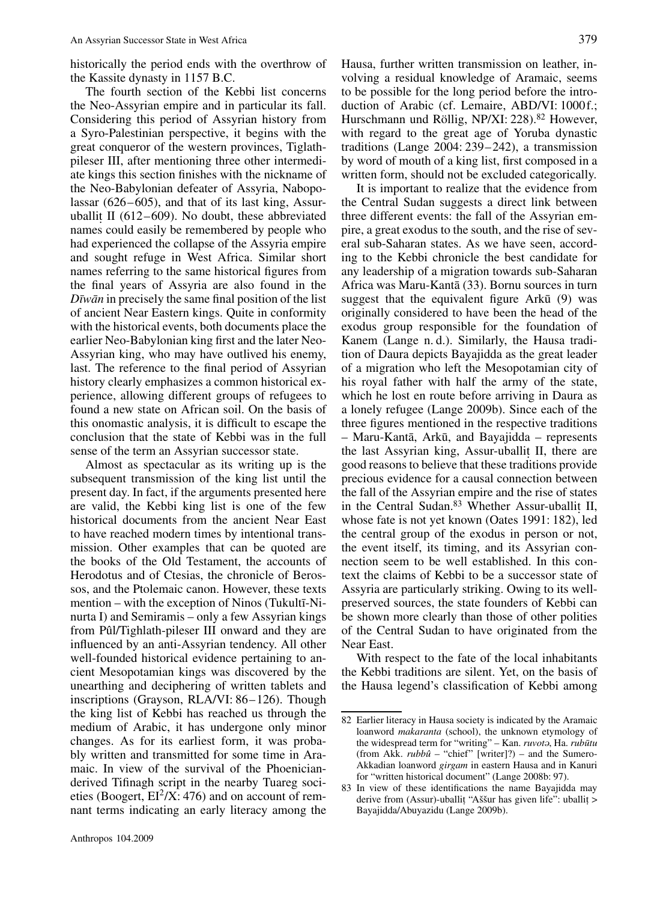historically the period ends with the overthrow of the Kassite dynasty in 1157 B.C.

The fourth section of the Kebbi list concerns the Neo-Assyrian empire and in particular its fall. Considering this period of Assyrian history from a Syro-Palestinian perspective, it begins with the great conqueror of the western provinces, Tiglathpileser III, after mentioning three other intermediate kings this section finishes with the nickname of the Neo-Babylonian defeater of Assyria, Nabopolassar (626–605), and that of its last king, Assuruballit II (612–609). No doubt, these abbreviated names could easily be remembered by people who had experienced the collapse of the Assyria empire and sought refuge in West Africa. Similar short names referring to the same historical figures from the final years of Assyria are also found in the *Dīwān* in precisely the same final position of the list of ancient Near Eastern kings. Quite in conformity with the historical events, both documents place the earlier Neo-Babylonian king first and the later Neo-Assyrian king, who may have outlived his enemy, last. The reference to the final period of Assyrian history clearly emphasizes a common historical experience, allowing different groups of refugees to found a new state on African soil. On the basis of this onomastic analysis, it is difficult to escape the conclusion that the state of Kebbi was in the full sense of the term an Assyrian successor state.

Almost as spectacular as its writing up is the subsequent transmission of the king list until the present day. In fact, if the arguments presented here are valid, the Kebbi king list is one of the few historical documents from the ancient Near East to have reached modern times by intentional transmission. Other examples that can be quoted are the books of the Old Testament, the accounts of Herodotus and of Ctesias, the chronicle of Berossos, and the Ptolemaic canon. However, these texts mention – with the exception of Ninos (Tukultī-Ninurta I) and Semiramis – only a few Assyrian kings from Pûl/Tighlath-pileser III onward and they are influenced by an anti-Assyrian tendency. All other well-founded historical evidence pertaining to ancient Mesopotamian kings was discovered by the unearthing and deciphering of written tablets and inscriptions (Grayson, RLA/VI: 86–126). Though the king list of Kebbi has reached us through the medium of Arabic, it has undergone only minor changes. As for its earliest form, it was probably written and transmitted for some time in Aramaic. In view of the survival of the Phoenicianderived Tifinagh script in the nearby Tuareg societies (Boogert,  $EI^2/X$ : 476) and on account of remnant terms indicating an early literacy among the Hausa, further written transmission on leather, involving a residual knowledge of Aramaic, seems to be possible for the long period before the introduction of Arabic (cf. Lemaire, ABD/VI: 1000f.; Hurschmann und Röllig, NP/XI: 228).<sup>82</sup> However, with regard to the great age of Yoruba dynastic traditions (Lange 2004: 239–242), a transmission by word of mouth of a king list, first composed in a written form, should not be excluded categorically.

It is important to realize that the evidence from the Central Sudan suggests a direct link between three different events: the fall of the Assyrian empire, a great exodus to the south, and the rise of several sub-Saharan states. As we have seen, according to the Kebbi chronicle the best candidate for any leadership of a migration towards sub-Saharan Africa was Maru-Kanta (33). Bornu sources in turn ¯ suggest that the equivalent figure Ark $\bar{u}$  (9) was originally considered to have been the head of the exodus group responsible for the foundation of Kanem (Lange n. d.). Similarly, the Hausa tradition of Daura depicts Bayajidda as the great leader of a migration who left the Mesopotamian city of his royal father with half the army of the state, which he lost en route before arriving in Daura as a lonely refugee (Lange 2009b). Since each of the three figures mentioned in the respective traditions  $-$  Maru-Kantā, Arkū, and Bayajidda  $-$  represents the last Assyrian king, Assur-uballit. II, there are good reasons to believe that these traditions provide precious evidence for a causal connection between the fall of the Assyrian empire and the rise of states in the Central Sudan.<sup>83</sup> Whether Assur-uballit II, whose fate is not yet known (Oates 1991: 182), led the central group of the exodus in person or not, the event itself, its timing, and its Assyrian connection seem to be well established. In this context the claims of Kebbi to be a successor state of Assyria are particularly striking. Owing to its wellpreserved sources, the state founders of Kebbi can be shown more clearly than those of other polities of the Central Sudan to have originated from the Near East.

With respect to the fate of the local inhabitants the Kebbi traditions are silent. Yet, on the basis of the Hausa legend's classification of Kebbi among

<sup>82</sup> Earlier literacy in Hausa society is indicated by the Aramaic loanword *makaranta* (school), the unknown etymology of the widespread term for "writing" – Kan. *ruvota*, Ha. *rubūtu* (from Akk. *rubbû* – "chief" [writer]?) – and the Sumero-Akkadian loanword *girgam* in eastern Hausa and in Kanuri for "written historical document" (Lange 2008b: 97).

<sup>83</sup> In view of these identifications the name Bayajidda may derive from (Assur)-uballit "Aššur has given life": uballit > Bayajidda/Abuyazidu (Lange 2009b).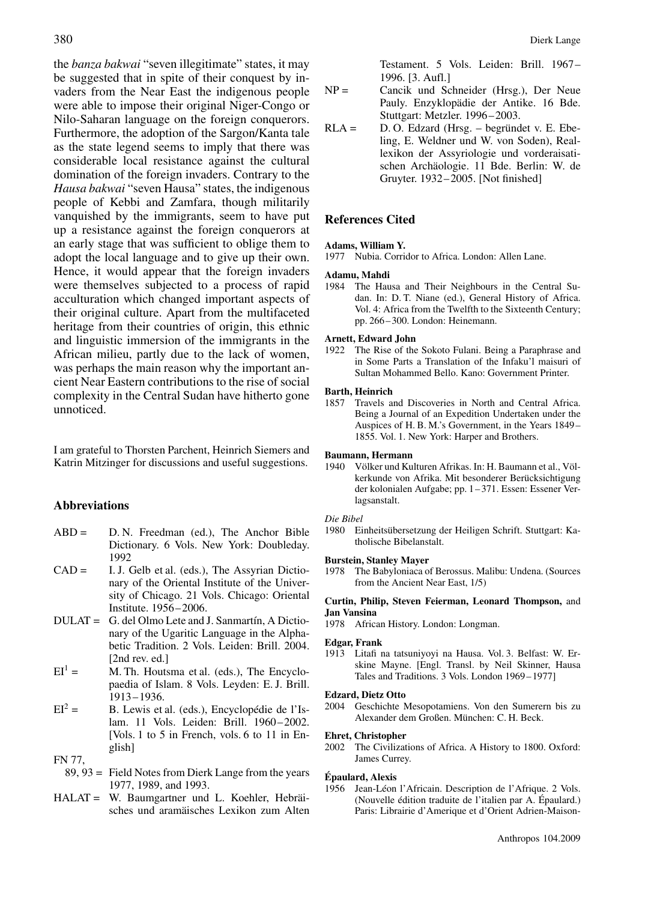the *banza bakwai* "seven illegitimate" states, it may be suggested that in spite of their conquest by invaders from the Near East the indigenous people were able to impose their original Niger-Congo or Nilo-Saharan language on the foreign conquerors. Furthermore, the adoption of the Sargon/Kanta tale as the state legend seems to imply that there was considerable local resistance against the cultural domination of the foreign invaders. Contrary to the *Hausa bakwai* "seven Hausa" states, the indigenous people of Kebbi and Zamfara, though militarily vanquished by the immigrants, seem to have put up a resistance against the foreign conquerors at an early stage that was sufficient to oblige them to adopt the local language and to give up their own. Hence, it would appear that the foreign invaders were themselves subjected to a process of rapid acculturation which changed important aspects of their original culture. Apart from the multifaceted heritage from their countries of origin, this ethnic and linguistic immersion of the immigrants in the African milieu, partly due to the lack of women, was perhaps the main reason why the important ancient Near Eastern contributions to the rise of social complexity in the Central Sudan have hitherto gone unnoticed.

I am grateful to Thorsten Parchent, Heinrich Siemers and Katrin Mitzinger for discussions and useful suggestions.

#### **Abbreviations**

- ABD = D. N. Freedman (ed.), The Anchor Bible Dictionary. 6 Vols. New York: Doubleday. 1992
- CAD = I. J. Gelb et al. (eds.), The Assyrian Dictionary of the Oriental Institute of the University of Chicago. 21 Vols. Chicago: Oriental Institute. 1956–2006.
- DULAT = G. del Olmo Lete and J. Sanmartín, A Dictionary of the Ugaritic Language in the Alphabetic Tradition. 2 Vols. Leiden: Brill. 2004. [2nd rev. ed.]
- $EI<sup>1</sup> =$  M. Th. Houtsma et al. (eds.), The Encyclopaedia of Islam. 8 Vols. Leyden: E. J. Brill. 1913–1936.
- $EI^2 =$  B. Lewis et al. (eds.), Encyclopédie de l'Islam. 11 Vols. Leiden: Brill. 1960–2002. [Vols. 1 to 5 in French, vols. 6 to 11 in English]

FN 77,

- 89, 93 = Field Notes from Dierk Lange from the years 1977, 1989, and 1993.
- HALAT = W. Baumgartner und L. Koehler, Hebräisches und aramäisches Lexikon zum Alten

Testament. 5 Vols. Leiden: Brill. 1967– 1996. [3. Aufl.]

- NP = Cancik und Schneider (Hrsg.), Der Neue Pauly. Enzyklopädie der Antike. 16 Bde. Stuttgart: Metzler. 1996–2003.
- RLA = D. O. Edzard (Hrsg. begründet v. E. Ebeling, E. Weldner und W. von Soden), Reallexikon der Assyriologie und vorderaisatischen Archäologie. 11 Bde. Berlin: W. de Gruyter. 1932–2005. [Not finished]

#### **References Cited**

#### **Adams, William Y.**

1977 Nubia. Corridor to Africa. London: Allen Lane.

#### **Adamu, Mahdi**

1984 The Hausa and Their Neighbours in the Central Sudan. In: D. T. Niane (ed.), General History of Africa. Vol. 4: Africa from the Twelfth to the Sixteenth Century; pp. 266–300. London: Heinemann.

#### **Arnett, Edward John**

1922 The Rise of the Sokoto Fulani. Being a Paraphrase and in Some Parts a Translation of the Infaku'l maisuri of Sultan Mohammed Bello. Kano: Government Printer.

### **Barth, Heinrich**<br>1857 Travels and

Travels and Discoveries in North and Central Africa. Being a Journal of an Expedition Undertaken under the Auspices of H. B. M.'s Government, in the Years 1849– 1855. Vol. 1. New York: Harper and Brothers.

### **Baumann, Hermann**<br>1940 Völker und Ku

1940 Völker und Kulturen Afrikas. In: H. Baumann et al., Völkerkunde von Afrika. Mit besonderer Berücksichtigung der kolonialen Aufgabe; pp. 1–371. Essen: Essener Verlagsanstalt.

#### *Die Bibel*

1980 Einheitsübersetzung der Heiligen Schrift. Stuttgart: Katholische Bibelanstalt.

### **Burstein, Stanley Mayer**<br>1978 The Babyloniaca o

The Babyloniaca of Berossus. Malibu: Undena. (Sources from the Ancient Near East, 1/5)

**Curtin, Philip, Steven Feierman, Leonard Thompson,** and **Jan Vansina**

1978 African History. London: Longman.

#### **Edgar, Frank**

1913 Litafi na tatsuniyoyi na Hausa. Vol. 3. Belfast: W. Erskine Mayne. [Engl. Transl. by Neil Skinner, Hausa Tales and Traditions. 3 Vols. London 1969–1977]

#### **Edzard, Dietz Otto**

2004 Geschichte Mesopotamiens. Von den Sumerern bis zu Alexander dem Großen. München: C. H. Beck.

#### **Ehret, Christopher**

2002 The Civilizations of Africa. A History to 1800. Oxford: James Currey.

#### **Épaulard, Alexis**

1956 Jean-Léon l'Africain. Description de l'Afrique. 2 Vols. (Nouvelle édition traduite de l'italien par A. Épaulard.) Paris: Librairie d'Amerique et d'Orient Adrien-Maison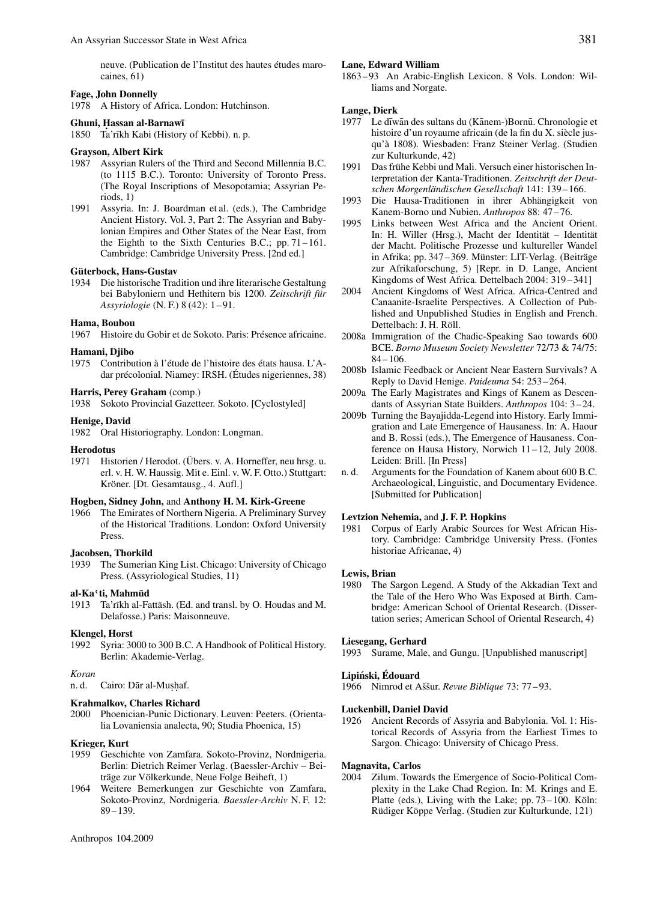neuve. (Publication de l'Institut des hautes études marocaines, 61)

#### **Fage, John Donnelly**

1978 A History of Africa. London: Hutchinson.

#### Ghuni, Hassan al-Barnawī

1850 Ta'rīkh Kabi (History of Kebbi). n. p.

#### **Grayson, Albert Kirk**

- 1987 Assyrian Rulers of the Third and Second Millennia B.C. (to 1115 B.C.). Toronto: University of Toronto Press. (The Royal Inscriptions of Mesopotamia; Assyrian Periods, 1)
- 1991 Assyria. In: J. Boardman et al. (eds.), The Cambridge Ancient History. Vol. 3, Part 2: The Assyrian and Babylonian Empires and Other States of the Near East, from the Eighth to the Sixth Centuries B.C.; pp. 71–161. Cambridge: Cambridge University Press. [2nd ed.]

#### **Güterbock, Hans-Gustav**

1934 Die historische Tradition und ihre literarische Gestaltung bei Babyloniern und Hethitern bis 1200. *Zeitschrift für Assyriologie* (N. F.) 8 (42): 1–91.

#### **Hama, Boubou**

1967 Histoire du Gobir et de Sokoto. Paris: Présence africaine.

#### **Hamani, Djibo**

1975 Contribution à l'étude de l'histoire des états hausa. L'Adar précolonial. Niamey: IRSH. (Études nigeriennes, 38)

#### **Harris, Perey Graham** (comp.)

1938 Sokoto Provincial Gazetteer. Sokoto. [Cyclostyled]

#### **Henige, David**

1982 Oral Historiography. London: Longman.

#### **Herodotus**

1971 Historien / Herodot. (Übers. v. A. Horneffer, neu hrsg. u. erl. v. H. W. Haussig. Mit e. Einl. v. W. F. Otto.) Stuttgart: Kröner. [Dt. Gesamtausg., 4. Aufl.]

#### **Hogben, Sidney John,** and **Anthony H. M. Kirk-Greene**

1966 The Emirates of Northern Nigeria. A Preliminary Survey of the Historical Traditions. London: Oxford University Press.

#### **Jacobsen, Thorkild**

1939 The Sumerian King List. Chicago: University of Chicago Press. (Assyriological Studies, 11)

#### **al-Ka**–**ti, Mahmud¯**

1913 Ta'rīkh al-Fattāsh. (Ed. and transl. by O. Houdas and M. Delafosse.) Paris: Maisonneuve.

#### **Klengel, Horst**

1992 Syria: 3000 to 300 B.C. A Handbook of Political History. Berlin: Akademie-Verlag.

*Koran* Cairo: Dār al-Mushaf.

#### **Krahmalkov, Charles Richard**

2000 Phoenician-Punic Dictionary. Leuven: Peeters. (Orientalia Lovaniensia analecta, 90; Studia Phoenica, 15)

#### **Krieger, Kurt**

- 1959 Geschichte von Zamfara. Sokoto-Provinz, Nordnigeria. Berlin: Dietrich Reimer Verlag. (Baessler-Archiv – Beiträge zur Völkerkunde, Neue Folge Beiheft, 1)
- 1964 Weitere Bemerkungen zur Geschichte von Zamfara, Sokoto-Provinz, Nordnigeria. *Baessler-Archiv* N. F. 12: 89–139.

#### **Lane, Edward William**

1863–93 An Arabic-English Lexicon. 8 Vols. London: Williams and Norgate.

#### **Lange, Dierk**

- 1977 Le dīwān des sultans du (Kānem-)Bornū. Chronologie et histoire d'un royaume africain (de la fin du X. siècle jusqu'à 1808). Wiesbaden: Franz Steiner Verlag. (Studien zur Kulturkunde, 42)
- 1991 Das frühe Kebbi und Mali. Versuch einer historischen Interpretation der Kanta-Traditionen. *Zeitschrift der Deutschen Morgenländischen Gesellschaft* 141: 139–166.
- 1993 Die Hausa-Traditionen in ihrer Abhängigkeit von Kanem-Borno und Nubien. *Anthropos* 88: 47–76.
- 1995 Links between West Africa and the Ancient Orient. In: H. Willer (Hrsg.), Macht der Identität – Identität der Macht. Politische Prozesse und kultureller Wandel in Afrika; pp. 347–369. Münster: LIT-Verlag. (Beiträge zur Afrikaforschung, 5) [Repr. in D. Lange, Ancient Kingdoms of West Africa. Dettelbach 2004: 319–341]
- 2004 Ancient Kingdoms of West Africa. Africa-Centred and Canaanite-Israelite Perspectives. A Collection of Published and Unpublished Studies in English and French. Dettelbach: J. H. Röll.
- 2008a Immigration of the Chadic-Speaking Sao towards 600 BCE. *Borno Museum Society Newsletter* 72/73 & 74/75:  $84 - 106$
- 2008b Islamic Feedback or Ancient Near Eastern Survivals? A Reply to David Henige. *Paideuma* 54: 253–264.
- 2009a The Early Magistrates and Kings of Kanem as Descendants of Assyrian State Builders. *Anthropos* 104: 3–24.
- 2009b Turning the Bayajidda-Legend into History. Early Immigration and Late Emergence of Hausaness. In: A. Haour and B. Rossi (eds.), The Emergence of Hausaness. Conference on Hausa History, Norwich 11–12, July 2008. Leiden: Brill. [In Press]
- n. d. Arguments for the Foundation of Kanem about 600 B.C. Archaeological, Linguistic, and Documentary Evidence. [Submitted for Publication]

#### **Levtzion Nehemia,** and **J. F. P. Hopkins**

1981 Corpus of Early Arabic Sources for West African History. Cambridge: Cambridge University Press. (Fontes historiae Africanae, 4)

#### **Lewis, Brian**

1980 The Sargon Legend. A Study of the Akkadian Text and the Tale of the Hero Who Was Exposed at Birth. Cambridge: American School of Oriental Research. (Dissertation series; American School of Oriental Research, 4)

#### **Liesegang, Gerhard**

1993 Surame, Male, and Gungu. [Unpublished manuscript]

#### **Lipinski, Édouard ´**

1966 Nimrod et Aššur. *Revue Biblique* 73: 77–93.

#### **Luckenbill, Daniel David**

1926 Ancient Records of Assyria and Babylonia. Vol. 1: Historical Records of Assyria from the Earliest Times to Sargon. Chicago: University of Chicago Press.

#### **Magnavita, Carlos**

2004 Zilum. Towards the Emergence of Socio-Political Complexity in the Lake Chad Region. In: M. Krings and E. Platte (eds.), Living with the Lake; pp. 73–100. Köln: Rüdiger Köppe Verlag. (Studien zur Kulturkunde, 121)